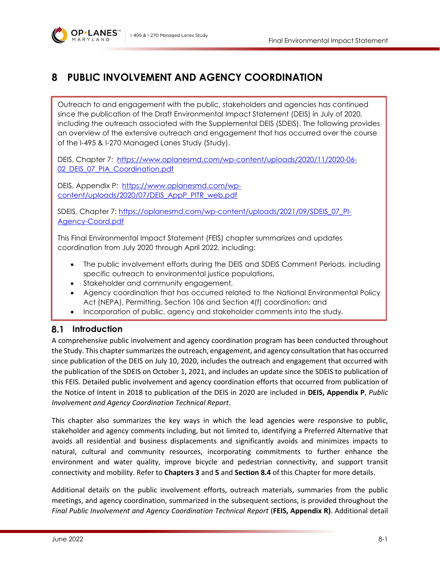

# **8 PUBLIC INVOLVEMENT AND AGENCY COORDINATION**

Outreach to and engagement with the public, stakeholders and agencies has continued since the publication of the Draft Environmental Impact Statement (DEIS) in July of 2020, including the outreach associated with the Supplemental DEIS (SDEIS). The following provides an overview of the extensive outreach and engagement that has occurred over the course of the I-495 & I-270 Managed Lanes Study (Study).

DEIS, Chapter 7: [https://www.oplanesmd.com/wp-content/uploads/2020/11/2020-06-](https://www.oplanesmd.com/wp-content/uploads/2020/11/2020-06-02_DEIS_07_PIA_Coordination.pdf) 02 DEIS 07 PIA Coordination.pdf

DEIS, Appendix P: [https://www.oplanesmd.com/wp](https://www.oplanesmd.com/wp-content/uploads/2020/07/DEIS_AppP_PITR_web.pdf)[content/uploads/2020/07/DEIS\\_AppP\\_PITR\\_web.pdf](https://www.oplanesmd.com/wp-content/uploads/2020/07/DEIS_AppP_PITR_web.pdf)

SDEIS, Chapter 7: [https://oplanesmd.com/wp-content/uploads/2021/09/SDEIS\\_07\\_PI-](https://oplanesmd.com/wp-content/uploads/2021/09/SDEIS_07_PI-Agency-Coord.pdf)[Agency-Coord.pdf](https://oplanesmd.com/wp-content/uploads/2021/09/SDEIS_07_PI-Agency-Coord.pdf)

This Final Environmental Impact Statement (FEIS) chapter summarizes and updates coordination from July 2020 through April 2022, including:

- The public involvement efforts during the DEIS and SDEIS Comment Periods, including specific outreach to environmental justice populations,
- Stakeholder and community engagement,
- Agency coordination that has occurred related to the National Environmental Policy Act (NEPA), Permitting, Section 106 and Section 4(f) coordination; and
- Incorporation of public, agency and stakeholder comments into the study.

# **Introduction**

A comprehensive public involvement and agency coordination program has been conducted throughout the Study. This chapter summarizes the outreach, engagement, and agency consultation that has occurred since publication of the DEIS on July 10, 2020, includes the outreach and engagement that occurred with the publication of the SDEIS on October 1, 2021, and includes an update since the SDEIS to publication of this FEIS. Detailed public involvement and agency coordination efforts that occurred from publication of the Notice of Intent in 2018 to publication of the DEIS in 2020 are included in **DEIS, Appendix P**, *Public Involvement and Agency Coordination Technical Report*.

This chapter also summarizes the key ways in which the lead agencies were responsive to public, stakeholder and agency comments including, but not limited to, identifying a Preferred Alternative that avoids all residential and business displacements and significantly avoids and minimizes impacts to natural, cultural and community resources, incorporating commitments to further enhance the environment and water quality, improve bicycle and pedestrian connectivity, and support transit connectivity and mobility. Refer to **Chapters 3** and **5** and **Section [8.4](#page-25-0)** of this Chapter for more details.

Additional details on the public involvement efforts, outreach materials, summaries from the public meetings, and agency coordination, summarized in the subsequent sections, is provided throughout the *Final Public Involvement and Agency Coordination Technical Report* (**FEIS, Appendix R)**. Additional detail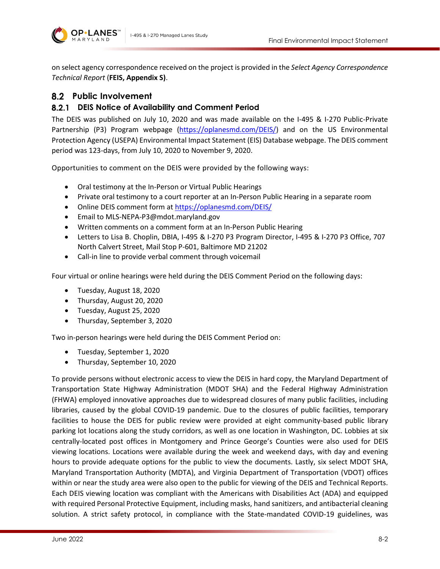

on select agency correspondence received on the project is provided in the *Select Agency Correspondence Technical Report* (**FEIS, Appendix S)**.

## **Public Involvement**

### **DEIS Notice of Availability and Comment Period**

The DEIS was published on July 10, 2020 and was made available on the I-495 & I-270 Public-Private Partnership (P3) Program webpage [\(https://oplanesmd.com/DEIS/\)](https://oplanesmd.com/DEIS/) and on the US Environmental Protection Agency (USEPA) Environmental Impact Statement (EIS) Database webpage. The DEIS comment period was 123-days, from July 10, 2020 to November 9, 2020.

Opportunities to comment on the DEIS were provided by the following ways:

- Oral testimony at the In-Person or Virtual Public Hearings
- Private oral testimony to a court reporter at an In-Person Public Hearing in a separate room
- Online DEIS comment form a[t https://oplanesmd.com/DEIS/](https://oplanesmd.com/DEIS/)
- Email to MLS-NEPA-P3@mdot.maryland.gov
- Written comments on a comment form at an In-Person Public Hearing
- Letters to Lisa B. Choplin, DBIA, I-495 & I-270 P3 Program Director, I-495 & I-270 P3 Office, 707 North Calvert Street, Mail Stop P-601, Baltimore MD 21202
- Call-in line to provide verbal comment through voicemail

Four virtual or online hearings were held during the DEIS Comment Period on the following days:

- Tuesday, August 18, 2020
- Thursday, August 20, 2020
- Tuesday, August 25, 2020
- Thursday, September 3, 2020

Two in-person hearings were held during the DEIS Comment Period on:

- Tuesday, September 1, 2020
- Thursday, September 10, 2020

To provide persons without electronic access to view the DEIS in hard copy, the Maryland Department of Transportation State Highway Administration (MDOT SHA) and the Federal Highway Administration (FHWA) employed innovative approaches due to widespread closures of many public facilities, including libraries, caused by the global COVID-19 pandemic. Due to the closures of public facilities, temporary facilities to house the DEIS for public review were provided at eight community-based public library parking lot locations along the study corridors, as well as one location in Washington, DC. Lobbies at six centrally-located post offices in Montgomery and Prince George's Counties were also used for DEIS viewing locations. Locations were available during the week and weekend days, with day and evening hours to provide adequate options for the public to view the documents. Lastly, six select MDOT SHA, Maryland Transportation Authority (MDTA), and Virginia Department of Transportation (VDOT) offices within or near the study area were also open to the public for viewing of the DEIS and Technical Reports. Each DEIS viewing location was compliant with the Americans with Disabilities Act (ADA) and equipped with required Personal Protective Equipment, including masks, hand sanitizers, and antibacterial cleaning solution. A strict safety protocol, in compliance with the State-mandated COVID-19 guidelines, was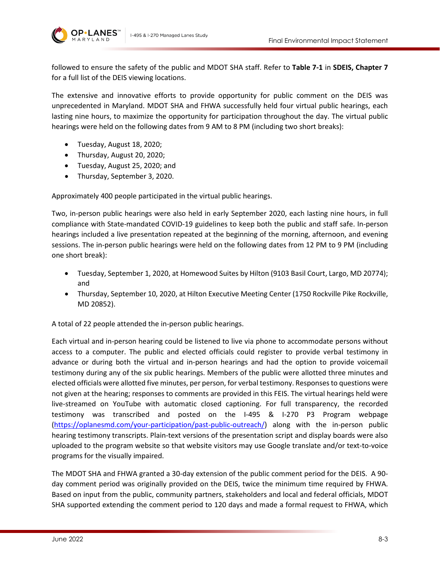

followed to ensure the safety of the public and MDOT SHA staff. Refer to **Table 7-1** in **SDEIS, Chapter 7**  for a full list of the DEIS viewing locations.

The extensive and innovative efforts to provide opportunity for public comment on the DEIS was unprecedented in Maryland. MDOT SHA and FHWA successfully held four virtual public hearings, each lasting nine hours, to maximize the opportunity for participation throughout the day. The virtual public hearings were held on the following dates from 9 AM to 8 PM (including two short breaks):

- Tuesday, August 18, 2020;
- Thursday, August 20, 2020;
- Tuesday, August 25, 2020; and
- Thursday, September 3, 2020.

Approximately 400 people participated in the virtual public hearings.

Two, in-person public hearings were also held in early September 2020, each lasting nine hours, in full compliance with State-mandated COVID-19 guidelines to keep both the public and staff safe. In-person hearings included a live presentation repeated at the beginning of the morning, afternoon, and evening sessions. The in-person public hearings were held on the following dates from 12 PM to 9 PM (including one short break):

- Tuesday, September 1, 2020, at Homewood Suites by Hilton (9103 Basil Court, Largo, MD 20774); and
- Thursday, September 10, 2020, at Hilton Executive Meeting Center (1750 Rockville Pike Rockville, MD 20852).

A total of 22 people attended the in-person public hearings.

Each virtual and in-person hearing could be listened to live via phone to accommodate persons without access to a computer. The public and elected officials could register to provide verbal testimony in advance or during both the virtual and in-person hearings and had the option to provide voicemail testimony during any of the six public hearings. Members of the public were allotted three minutes and elected officials were allotted five minutes, per person, for verbal testimony. Responses to questions were not given at the hearing; responses to comments are provided in this FEIS. The virtual hearings held were live-streamed on YouTube with automatic closed captioning. For full transparency, the recorded testimony was transcribed and posted on the I-495 & I-270 P3 Program webpage [\(https://oplanesmd.com/your-participation/past-public-outreach/\)](https://oplanesmd.com/your-participation/past-public-outreach/) along with the in-person public hearing testimony transcripts. Plain-text versions of the presentation script and display boards were also uploaded to the program website so that website visitors may use Google translate and/or text-to-voice programs for the visually impaired.

The MDOT SHA and FHWA granted a 30-day extension of the public comment period for the DEIS. A 90 day comment period was originally provided on the DEIS, twice the minimum time required by FHWA. Based on input from the public, community partners, stakeholders and local and federal officials, MDOT SHA supported extending the comment period to 120 days and made a formal request to FHWA, which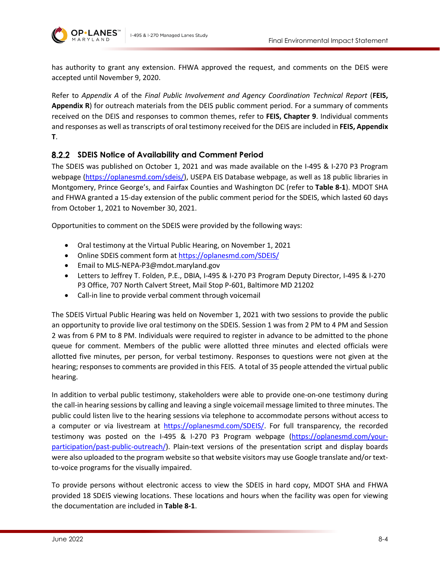

has authority to grant any extension. FHWA approved the request, and comments on the DEIS were accepted until November 9, 2020.

Refer to *Appendix A* of the *Final Public Involvement and Agency Coordination Technical Report* (**FEIS, Appendix R**) for outreach materials from the DEIS public comment period. For a summary of comments received on the DEIS and responses to common themes, refer to **FEIS, Chapter 9**. Individual comments and responses as well as transcripts of oral testimony received for the DEIS are included in **FEIS, Appendix T**.

### **SDEIS Notice of Availability and Comment Period**

The SDEIS was published on October 1, 2021 and was made available on the I-495 & I-270 P3 Program webpage [\(https://oplanesmd.com/sdeis/\)](https://oplanesmd.com/sdeis/), USEPA EIS Database webpage, as well as 18 public libraries in Montgomery, Prince George's, and Fairfax Counties and Washington DC (refer to **[Table 8-1](#page-4-0)**). MDOT SHA and FHWA granted a 15-day extension of the public comment period for the SDEIS, which lasted 60 days from October 1, 2021 to November 30, 2021.

Opportunities to comment on the SDEIS were provided by the following ways:

- Oral testimony at the Virtual Public Hearing, on November 1, 2021
- Online SDEIS comment form at <https://oplanesmd.com/SDEIS/>
- Email to MLS-NEPA-P3@mdot.maryland.gov
- Letters to Jeffrey T. Folden, P.E., DBIA, I-495 & I-270 P3 Program Deputy Director, I-495 & I-270 P3 Office, 707 North Calvert Street, Mail Stop P-601, Baltimore MD 21202
- Call-in line to provide verbal comment through voicemail

The SDEIS Virtual Public Hearing was held on November 1, 2021 with two sessions to provide the public an opportunity to provide live oral testimony on the SDEIS. Session 1 was from 2 PM to 4 PM and Session 2 was from 6 PM to 8 PM. Individuals were required to register in advance to be admitted to the phone queue for comment. Members of the public were allotted three minutes and elected officials were allotted five minutes, per person, for verbal testimony. Responses to questions were not given at the hearing; responses to comments are provided in this FEIS. A total of 35 people attended the virtual public hearing.

In addition to verbal public testimony, stakeholders were able to provide one-on-one testimony during the call-in hearing sessions by calling and leaving a single voicemail message limited to three minutes. The public could listen live to the hearing sessions via telephone to accommodate persons without access to a computer or via livestream at [https://oplanesmd.com/SDEIS/.](https://oplanesmd.com/SDEIS/) For full transparency, the recorded testimony was posted on the I-495 & I-270 P3 Program webpage [\(https://oplanesmd.com/your](https://oplanesmd.com/your-participation/past-public-outreach/)[participation/past-public-outreach/\)](https://oplanesmd.com/your-participation/past-public-outreach/). Plain-text versions of the presentation script and display boards were also uploaded to the program website so that website visitors may use Google translate and/or textto-voice programs for the visually impaired.

To provide persons without electronic access to view the SDEIS in hard copy, MDOT SHA and FHWA provided 18 SDEIS viewing locations. These locations and hours when the facility was open for viewing the documentation are included in **[Table 8-1](#page-4-0)**.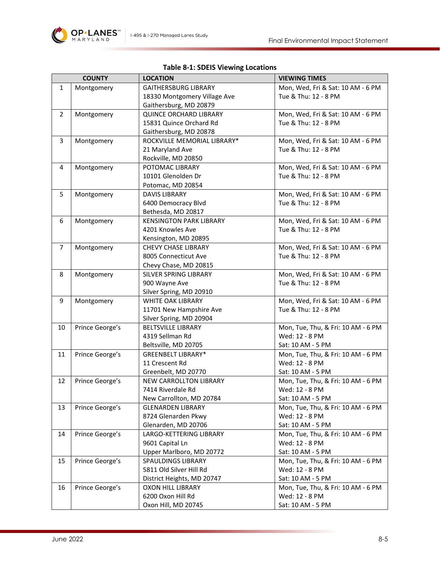

### **Table 8-1: SDEIS Viewing Locations**

<span id="page-4-0"></span>

|                | <b>COUNTY</b>   | <b>LOCATION</b>                                | <b>VIEWING TIMES</b>                                    |
|----------------|-----------------|------------------------------------------------|---------------------------------------------------------|
| $\mathbf{1}$   | Montgomery      | <b>GAITHERSBURG LIBRARY</b>                    | Mon, Wed, Fri & Sat: 10 AM - 6 PM                       |
|                |                 | 18330 Montgomery Village Ave                   | Tue & Thu: 12 - 8 PM                                    |
|                |                 | Gaithersburg, MD 20879                         |                                                         |
| $\overline{2}$ | Montgomery      | <b>QUINCE ORCHARD LIBRARY</b>                  | Mon, Wed, Fri & Sat: 10 AM - 6 PM                       |
|                |                 | 15831 Quince Orchard Rd                        | Tue & Thu: 12 - 8 PM                                    |
|                |                 | Gaithersburg, MD 20878                         |                                                         |
| 3              | Montgomery      | ROCKVILLE MEMORIAL LIBRARY*                    | Mon, Wed, Fri & Sat: 10 AM - 6 PM                       |
|                |                 | 21 Maryland Ave                                | Tue & Thu: 12 - 8 PM                                    |
|                |                 | Rockville, MD 20850                            |                                                         |
| 4              | Montgomery      | POTOMAC LIBRARY                                | Mon, Wed, Fri & Sat: 10 AM - 6 PM                       |
|                |                 | 10101 Glenolden Dr                             | Tue & Thu: 12 - 8 PM                                    |
|                |                 | Potomac, MD 20854                              |                                                         |
| 5              | Montgomery      | DAVIS LIBRARY                                  | Mon, Wed, Fri & Sat: 10 AM - 6 PM                       |
|                |                 | 6400 Democracy Blvd                            | Tue & Thu: 12 - 8 PM                                    |
|                |                 | Bethesda, MD 20817                             |                                                         |
| 6              | Montgomery      | <b>KENSINGTON PARK LIBRARY</b>                 | Mon, Wed, Fri & Sat: 10 AM - 6 PM                       |
|                |                 | 4201 Knowles Ave                               | Tue & Thu: 12 - 8 PM                                    |
|                |                 | Kensington, MD 20895                           |                                                         |
| $\overline{7}$ | Montgomery      | <b>CHEVY CHASE LIBRARY</b>                     | Mon, Wed, Fri & Sat: 10 AM - 6 PM                       |
|                |                 | 8005 Connecticut Ave                           | Tue & Thu: 12 - 8 PM                                    |
|                |                 | Chevy Chase, MD 20815                          |                                                         |
| 8              | Montgomery      | SILVER SPRING LIBRARY                          | Mon, Wed, Fri & Sat: 10 AM - 6 PM                       |
|                |                 | 900 Wayne Ave                                  | Tue & Thu: 12 - 8 PM                                    |
|                |                 | Silver Spring, MD 20910                        |                                                         |
| 9              | Montgomery      | <b>WHITE OAK LIBRARY</b>                       | Mon, Wed, Fri & Sat: 10 AM - 6 PM                       |
|                |                 | 11701 New Hampshire Ave                        | Tue & Thu: 12 - 8 PM                                    |
|                |                 | Silver Spring, MD 20904                        |                                                         |
| 10             | Prince George's | <b>BELTSVILLE LIBRARY</b>                      | Mon, Tue, Thu, & Fri: 10 AM - 6 PM                      |
|                |                 | 4319 Sellman Rd                                | Wed: 12 - 8 PM                                          |
|                |                 | Beltsville, MD 20705                           | Sat: 10 AM - 5 PM                                       |
| 11             | Prince George's | <b>GREENBELT LIBRARY*</b>                      | Mon, Tue, Thu, & Fri: 10 AM - 6 PM                      |
|                |                 | 11 Crescent Rd                                 | Wed: 12 - 8 PM                                          |
|                |                 | Greenbelt, MD 20770                            | Sat: 10 AM - 5 PM                                       |
| 12             | Prince George's | NEW CARROLLTON LIBRARY                         | Mon, Tue, Thu, & Fri: 10 AM - 6 PM                      |
|                |                 | 7414 Riverdale Rd                              | Wed: 12 - 8 PM                                          |
|                |                 | New Carrollton, MD 20784                       | Sat: 10 AM - 5 PM                                       |
| 13             | Prince George's | <b>GLENARDEN LIBRARY</b>                       | Mon, Tue, Thu, & Fri: 10 AM - 6 PM                      |
|                |                 | 8724 Glenarden Pkwy                            | Wed: 12 - 8 PM                                          |
| 14             | Prince George's | Glenarden, MD 20706<br>LARGO-KETTERING LIBRARY | Sat: 10 AM - 5 PM<br>Mon, Tue, Thu, & Fri: 10 AM - 6 PM |
|                |                 | 9601 Capital Ln                                | Wed: 12 - 8 PM                                          |
|                |                 | Upper Marlboro, MD 20772                       | Sat: 10 AM - 5 PM                                       |
| 15             | Prince George's | SPAULDINGS LIBRARY                             | Mon, Tue, Thu, & Fri: 10 AM - 6 PM                      |
|                |                 | 5811 Old Silver Hill Rd                        | Wed: 12 - 8 PM                                          |
|                |                 | District Heights, MD 20747                     | Sat: 10 AM - 5 PM                                       |
| 16             | Prince George's | <b>OXON HILL LIBRARY</b>                       | Mon, Tue, Thu, & Fri: 10 AM - 6 PM                      |
|                |                 | 6200 Oxon Hill Rd                              | Wed: 12 - 8 PM                                          |
|                |                 | Oxon Hill, MD 20745                            | Sat: 10 AM - 5 PM                                       |
|                |                 |                                                |                                                         |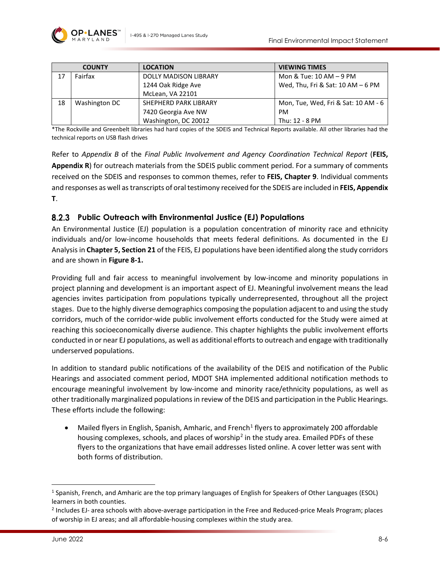

|    | <b>COUNTY</b> | <b>LOCATION</b>              | <b>VIEWING TIMES</b>                |
|----|---------------|------------------------------|-------------------------------------|
| 17 | Fairfax       | <b>DOLLY MADISON LIBRARY</b> | Mon & Tue: $10$ AM $-9$ PM          |
|    |               | 1244 Oak Ridge Ave           | Wed, Thu, Fri & Sat: $10 AM - 6 PM$ |
|    |               | McLean, VA 22101             |                                     |
| 18 | Washington DC | SHEPHERD PARK LIBRARY        | Mon, Tue, Wed, Fri & Sat: 10 AM - 6 |
|    |               | 7420 Georgia Ave NW          | <b>PM</b>                           |
|    |               | Washington, DC 20012         | Thu: 12 - 8 PM                      |

\*The Rockville and Greenbelt libraries had hard copies of the SDEIS and Technical Reports available. All other libraries had the technical reports on USB flash drives

Refer to *Appendix B* of the *Final Public Involvement and Agency Coordination Technical Report* (**FEIS, Appendix R**) for outreach materials from the SDEIS public comment period. For a summary of comments received on the SDEIS and responses to common themes, refer to **FEIS, Chapter 9**. Individual comments and responses as well as transcripts of oral testimony received for the SDEIS are included in **FEIS, Appendix T**.

### **Public Outreach with Environmental Justice (EJ) Populations**

An Environmental Justice (EJ) population is a population concentration of minority race and ethnicity individuals and/or low-income households that meets federal definitions. As documented in the EJ Analysis in **Chapter 5, Section 21** of the FEIS, EJ populations have been identified along the study corridors and are shown in **[Figure 8-1.](#page-7-0)**

Providing full and fair access to meaningful involvement by low-income and minority populations in project planning and development is an important aspect of EJ. Meaningful involvement means the lead agencies invites participation from populations typically underrepresented, throughout all the project stages. Due to the highly diverse demographics composing the population adjacent to and using the study corridors, much of the corridor-wide public involvement efforts conducted for the Study were aimed at reaching this socioeconomically diverse audience. This chapter highlights the public involvement efforts conducted in or near EJ populations, as well as additional efforts to outreach and engage with traditionally underserved populations.

In addition to standard public notifications of the availability of the DEIS and notification of the Public Hearings and associated comment period, MDOT SHA implemented additional notification methods to encourage meaningful involvement by low-income and minority race/ethnicity populations, as well as other traditionally marginalized populations in review of the DEIS and participation in the Public Hearings. These efforts include the following:

Mailed flyers in English, Spanish, Amharic, and French<sup>1</sup> flyers to approximately 200 affordable housing complexes, schools, and places of worship<sup>[2](#page-5-1)</sup> in the study area. Emailed PDFs of these flyers to the organizations that have email addresses listed online. A cover letter was sent with both forms of distribution.

<span id="page-5-0"></span><sup>1</sup> Spanish, French, and Amharic are the top primary languages of English for Speakers of Other Languages (ESOL) learners in both counties.

<span id="page-5-1"></span><sup>2</sup> Includes EJ- area schools with above-average participation in the Free and Reduced-price Meals Program; places of worship in EJ areas; and all affordable-housing complexes within the study area.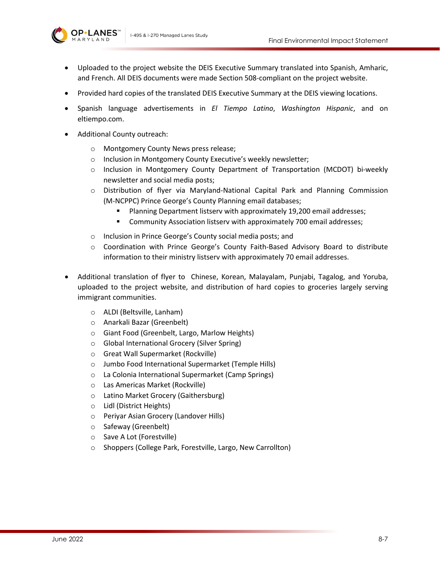

- Uploaded to the project website the DEIS Executive Summary translated into Spanish, Amharic, and French. All DEIS documents were made Section 508-compliant on the project website.
- Provided hard copies of the translated DEIS Executive Summary at the DEIS viewing locations.
- Spanish language advertisements in *El Tiempo Latino*, *Washington Hispanic*, and on eltiempo.com.
- Additional County outreach:
	- o Montgomery County News press release;
	- o Inclusion in Montgomery County Executive's weekly newsletter;
	- o Inclusion in Montgomery County Department of Transportation (MCDOT) bi-weekly newsletter and social media posts;
	- o Distribution of flyer via Maryland-National Capital Park and Planning Commission (M-NCPPC) Prince George's County Planning email databases;
		- Planning Department listserv with approximately 19,200 email addresses;
		- **E** Community Association listserv with approximately 700 email addresses;
	- o Inclusion in Prince George's County social media posts; and
	- o Coordination with Prince George's County Faith-Based Advisory Board to distribute information to their ministry listserv with approximately 70 email addresses.
- Additional translation of flyer to Chinese, Korean, Malayalam, Punjabi, Tagalog, and Yoruba, uploaded to the project website, and distribution of hard copies to groceries largely serving immigrant communities.
	- o ALDI (Beltsville, Lanham)
	- o Anarkali Bazar (Greenbelt)
	- o Giant Food (Greenbelt, Largo, Marlow Heights)
	- o Global International Grocery (Silver Spring)
	- o Great Wall Supermarket (Rockville)
	- o Jumbo Food International Supermarket (Temple Hills)
	- o La Colonia International Supermarket (Camp Springs)
	- o Las Americas Market (Rockville)
	- o Latino Market Grocery (Gaithersburg)
	- o Lidl (District Heights)
	- o Periyar Asian Grocery (Landover Hills)
	- o Safeway (Greenbelt)
	- o Save A Lot (Forestville)
	- o Shoppers (College Park, Forestville, Largo, New Carrollton)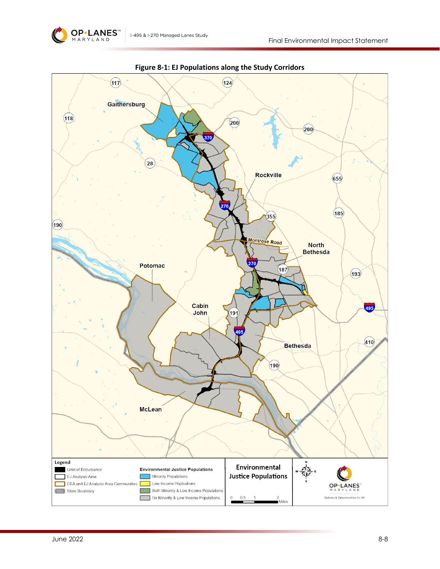

<span id="page-7-0"></span>

**Figure 8-1: EJ Populations along the Study Corridors**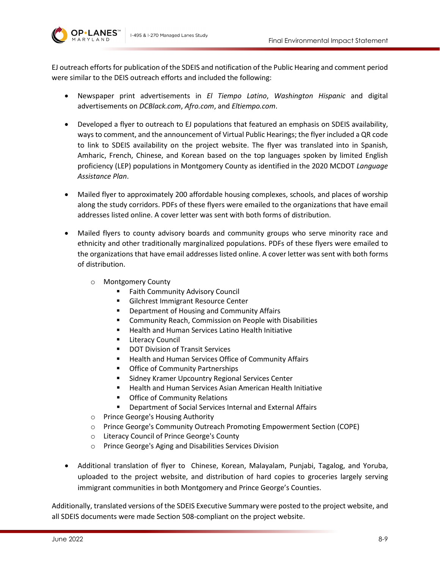**OP•LANES** 



EJ outreach efforts for publication of the SDEIS and notification of the Public Hearing and comment period were similar to the DEIS outreach efforts and included the following:

- Newspaper print advertisements in *El Tiempo Latino*, *Washington Hispanic* and digital advertisements on *DCBlack.com*, *Afro.com*, and *Eltiempo.com*.
- Developed a flyer to outreach to EJ populations that featured an emphasis on SDEIS availability, ways to comment, and the announcement of Virtual Public Hearings; the flyer included a QR code to link to SDEIS availability on the project website. The flyer was translated into in Spanish, Amharic, French, Chinese, and Korean based on the top languages spoken by limited English proficiency (LEP) populations in Montgomery County as identified in the 2020 MCDOT *Language Assistance Plan*.
- Mailed flyer to approximately 200 affordable housing complexes, schools, and places of worship along the study corridors. PDFs of these flyers were emailed to the organizations that have email addresses listed online. A cover letter was sent with both forms of distribution.
- Mailed flyers to county advisory boards and community groups who serve minority race and ethnicity and other traditionally marginalized populations. PDFs of these flyers were emailed to the organizations that have email addresses listed online. A cover letter was sent with both forms of distribution.
	- o Montgomery County
		- Faith Community Advisory Council
		- **Gilchrest Immigrant Resource Center**
		- Department of Housing and Community Affairs
		- **EXECOMMUNICE:** Commission on People with Disabilities
		- Health and Human Services Latino Health Initiative
		- **E** Literacy Council
		- **DOT Division of Transit Services**
		- **Health and Human Services Office of Community Affairs**
		- **Office of Community Partnerships**
		- **EXEDENT Sidney Kramer Upcountry Regional Services Center**
		- **Health and Human Services Asian American Health Initiative**
		- **•** Office of Community Relations
		- Department of Social Services Internal and External Affairs
	- o Prince George's Housing Authority
	- o Prince George's Community Outreach Promoting Empowerment Section (COPE)
	- o Literacy Council of Prince George's County
	- o Prince George's Aging and Disabilities Services Division
- Additional translation of flyer to Chinese, Korean, Malayalam, Punjabi, Tagalog, and Yoruba, uploaded to the project website, and distribution of hard copies to groceries largely serving immigrant communities in both Montgomery and Prince George's Counties.

Additionally, translated versions of the SDEIS Executive Summary were posted to the project website, and all SDEIS documents were made Section 508-compliant on the project website.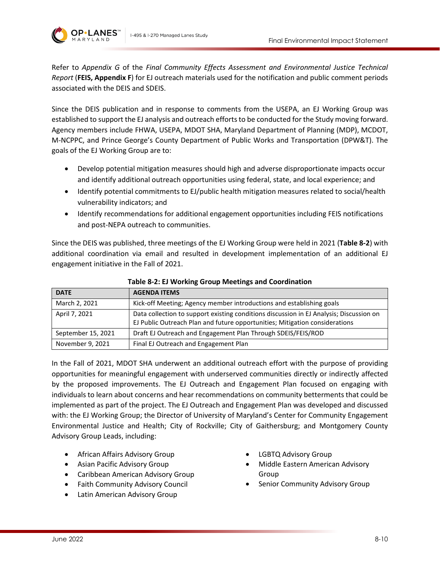



Refer to *Appendix G* of the *Final Community Effects Assessment and Environmental Justice Technical Report* (**FEIS, Appendix F**) for EJ outreach materials used for the notification and public comment periods associated with the DEIS and SDEIS.

Since the DEIS publication and in response to comments from the USEPA, an EJ Working Group was established to support the EJ analysis and outreach efforts to be conducted for the Study moving forward. Agency members include FHWA, USEPA, MDOT SHA, Maryland Department of Planning (MDP), MCDOT, M-NCPPC, and Prince George's County Department of Public Works and Transportation (DPW&T). The goals of the EJ Working Group are to:

- Develop potential mitigation measures should high and adverse disproportionate impacts occur and identify additional outreach opportunities using federal, state, and local experience; and
- Identify potential commitments to EJ/public health mitigation measures related to social/health vulnerability indicators; and
- Identify recommendations for additional engagement opportunities including FEIS notifications and post-NEPA outreach to communities.

Since the DEIS was published, three meetings of the EJ Working Group were held in 2021 (**[Table 8-2](#page-9-0)**) with additional coordination via email and resulted in development implementation of an additional EJ engagement initiative in the Fall of 2021.

<span id="page-9-0"></span>

| <b>DATE</b>        | <b>AGENDA ITEMS</b>                                                                                                                                                    |
|--------------------|------------------------------------------------------------------------------------------------------------------------------------------------------------------------|
| March 2, 2021      | Kick-off Meeting; Agency member introductions and establishing goals                                                                                                   |
| April 7, 2021      | Data collection to support existing conditions discussion in EJ Analysis; Discussion on<br>EJ Public Outreach Plan and future opportunities; Mitigation considerations |
| September 15, 2021 | Draft EJ Outreach and Engagement Plan Through SDEIS/FEIS/ROD                                                                                                           |
| November 9, 2021   | Final EJ Outreach and Engagement Plan                                                                                                                                  |

**Table 8-2: EJ Working Group Meetings and Coordination**

In the Fall of 2021, MDOT SHA underwent an additional outreach effort with the purpose of providing opportunities for meaningful engagement with underserved communities directly or indirectly affected by the proposed improvements. The EJ Outreach and Engagement Plan focused on engaging with individuals to learn about concerns and hear recommendations on community betterments that could be implemented as part of the project. The EJ Outreach and Engagement Plan was developed and discussed with: the EJ Working Group; the Director of University of Maryland's Center for Community Engagement Environmental Justice and Health; City of Rockville; City of Gaithersburg; and Montgomery County Advisory Group Leads, including:

- African Affairs Advisory Group
- Asian Pacific Advisory Group
- Caribbean American Advisory Group
- Faith Community Advisory Council
- Latin American Advisory Group
- LGBTQ Advisory Group
- Middle Eastern American Advisory Group
- Senior Community Advisory Group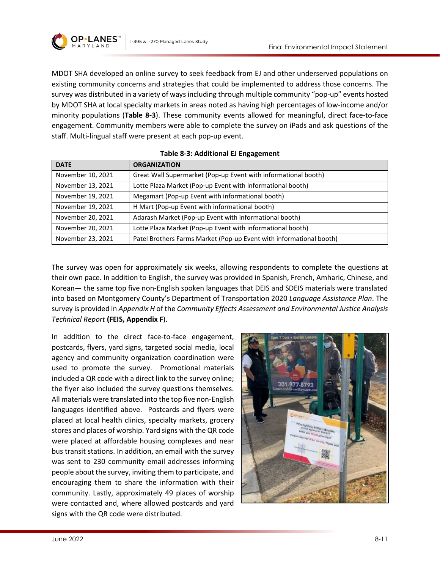

MDOT SHA developed an online survey to seek feedback from EJ and other underserved populations on existing community concerns and strategies that could be implemented to address those concerns. The survey was distributed in a variety of ways including through multiple community "pop-up" events hosted by MDOT SHA at local specialty markets in areas noted as having high percentages of low-income and/or minority populations (**[Table 8-3](#page-10-0)**). These community events allowed for meaningful, direct face-to-face engagement. Community members were able to complete the survey on iPads and ask questions of the staff. Multi-lingual staff were present at each pop-up event.

<span id="page-10-0"></span>

| <b>DATE</b>       | <b>ORGANIZATION</b>                                                 |  |
|-------------------|---------------------------------------------------------------------|--|
| November 10, 2021 | Great Wall Supermarket (Pop-up Event with informational booth)      |  |
| November 13, 2021 | Lotte Plaza Market (Pop-up Event with informational booth)          |  |
| November 19, 2021 | Megamart (Pop-up Event with informational booth)                    |  |
| November 19, 2021 | H Mart (Pop-up Event with informational booth)                      |  |
| November 20, 2021 | Adarash Market (Pop-up Event with informational booth)              |  |
| November 20, 2021 | Lotte Plaza Market (Pop-up Event with informational booth)          |  |
| November 23, 2021 | Patel Brothers Farms Market (Pop-up Event with informational booth) |  |

#### **Table 8-3: Additional EJ Engagement**

The survey was open for approximately six weeks, allowing respondents to complete the questions at their own pace. In addition to English, the survey was provided in Spanish, French, Amharic, Chinese, and Korean— the same top five non-English spoken languages that DEIS and SDEIS materials were translated into based on Montgomery County's Department of Transportation 2020 *Language Assistance Plan*. The survey is provided in *Appendix H* of the *Community Effects Assessment and Environmental Justice Analysis Technical Report* **(FEIS, Appendix F**).

In addition to the direct face-to-face engagement, postcards, flyers, yard signs, targeted social media, local agency and community organization coordination were used to promote the survey. Promotional materials included a QR code with a direct link to the survey online; the flyer also included the survey questions themselves. All materials were translated into the top five non-English languages identified above. Postcards and flyers were placed at local health clinics, specialty markets, grocery stores and places of worship. Yard signs with the QR code were placed at affordable housing complexes and near bus transit stations. In addition, an email with the survey was sent to 230 community email addresses informing people about the survey, inviting them to participate, and encouraging them to share the information with their community. Lastly, approximately 49 places of worship were contacted and, where allowed postcards and yard signs with the QR code were distributed.

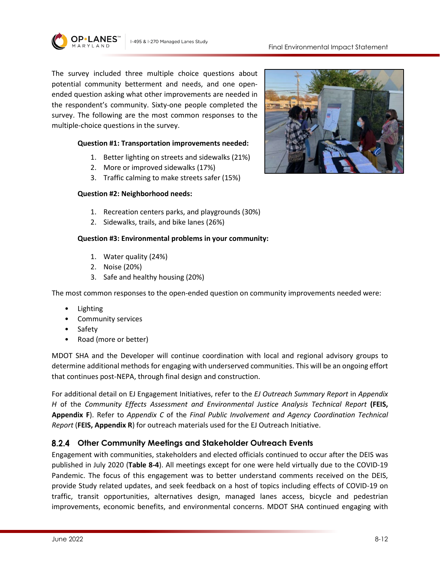

The survey included three multiple choice questions about potential community betterment and needs, and one openended question asking what other improvements are needed in the respondent's community. Sixty-one people completed the survey. The following are the most common responses to the multiple-choice questions in the survey.

#### **Question #1: Transportation improvements needed:**

- 1. Better lighting on streets and sidewalks (21%)
- 2. More or improved sidewalks (17%)
- 3. Traffic calming to make streets safer (15%)

#### **Question #2: Neighborhood needs:**

- 1. Recreation centers parks, and playgrounds (30%)
- 2. Sidewalks, trails, and bike lanes (26%)

#### **Question #3: Environmental problems in your community:**

- 1. Water quality (24%)
- 2. Noise (20%)
- 3. Safe and healthy housing (20%)

The most common responses to the open-ended question on community improvements needed were:

- Lighting
- Community services
- Safety
- Road (more or better)

MDOT SHA and the Developer will continue coordination with local and regional advisory groups to determine additional methods for engaging with underserved communities. This will be an ongoing effort that continues post-NEPA, through final design and construction.

For additional detail on EJ Engagement Initiatives, refer to the *EJ Outreach Summary Report* in *Appendix H* of the *Community Effects Assessment and Environmental Justice Analysis Technical Report* **(FEIS, Appendix F**). Refer to *Appendix C* of the *Final Public Involvement and Agency Coordination Technical Report* (**FEIS, Appendix R**) for outreach materials used for the EJ Outreach Initiative.

### **Other Community Meetings and Stakeholder Outreach Events**

Engagement with communities, stakeholders and elected officials continued to occur after the DEIS was published in July 2020 (**[Table 8-4](#page-12-0)**). All meetings except for one were held virtually due to the COVID-19 Pandemic. The focus of this engagement was to better understand comments received on the DEIS, provide Study related updates, and seek feedback on a host of topics including effects of COVID-19 on traffic, transit opportunities, alternatives design, managed lanes access, bicycle and pedestrian improvements, economic benefits, and environmental concerns. MDOT SHA continued engaging with

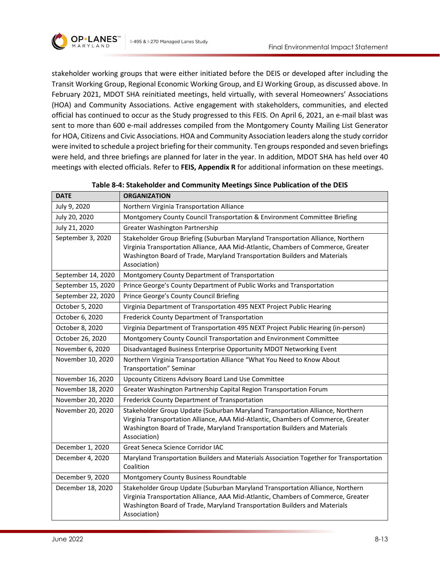

stakeholder working groups that were either initiated before the DEIS or developed after including the Transit Working Group, Regional Economic Working Group, and EJ Working Group, as discussed above. In February 2021, MDOT SHA reinitiated meetings, held virtually, with several Homeowners' Associations (HOA) and Community Associations. Active engagement with stakeholders, communities, and elected official has continued to occur as the Study progressed to this FEIS. On April 6, 2021, an e-mail blast was sent to more than 600 e-mail addresses compiled from the Montgomery County Mailing List Generator for HOA, Citizens and Civic Associations. HOA and Community Association leaders along the study corridor were invited to schedule a project briefing for their community. Ten groups responded and seven briefings were held, and three briefings are planned for later in the year. In addition, MDOT SHA has held over 40 meetings with elected officials. Refer to **FEIS, Appendix R** for additional information on these meetings.

<span id="page-12-0"></span>

| <b>DATE</b>        | <b>ORGANIZATION</b>                                                                                                                                                                                                                                               |  |  |
|--------------------|-------------------------------------------------------------------------------------------------------------------------------------------------------------------------------------------------------------------------------------------------------------------|--|--|
| July 9, 2020       | Northern Virginia Transportation Alliance                                                                                                                                                                                                                         |  |  |
| July 20, 2020      | Montgomery County Council Transportation & Environment Committee Briefing                                                                                                                                                                                         |  |  |
| July 21, 2020      | Greater Washington Partnership                                                                                                                                                                                                                                    |  |  |
| September 3, 2020  | Stakeholder Group Briefing (Suburban Maryland Transportation Alliance, Northern<br>Virginia Transportation Alliance, AAA Mid-Atlantic, Chambers of Commerce, Greater<br>Washington Board of Trade, Maryland Transportation Builders and Materials<br>Association) |  |  |
| September 14, 2020 | Montgomery County Department of Transportation                                                                                                                                                                                                                    |  |  |
| September 15, 2020 | Prince George's County Department of Public Works and Transportation                                                                                                                                                                                              |  |  |
| September 22, 2020 | Prince George's County Council Briefing                                                                                                                                                                                                                           |  |  |
| October 5, 2020    | Virginia Department of Transportation 495 NEXT Project Public Hearing                                                                                                                                                                                             |  |  |
| October 6, 2020    | Frederick County Department of Transportation                                                                                                                                                                                                                     |  |  |
| October 8, 2020    | Virginia Department of Transportation 495 NEXT Project Public Hearing (in-person)                                                                                                                                                                                 |  |  |
| October 26, 2020   | Montgomery County Council Transportation and Environment Committee                                                                                                                                                                                                |  |  |
| November 6, 2020   | Disadvantaged Business Enterprise Opportunity MDOT Networking Event                                                                                                                                                                                               |  |  |
| November 10, 2020  | Northern Virginia Transportation Alliance "What You Need to Know About<br>Transportation" Seminar                                                                                                                                                                 |  |  |
| November 16, 2020  | Upcounty Citizens Advisory Board Land Use Committee                                                                                                                                                                                                               |  |  |
| November 18, 2020  | Greater Washington Partnership Capital Region Transportation Forum                                                                                                                                                                                                |  |  |
| November 20, 2020  | Frederick County Department of Transportation                                                                                                                                                                                                                     |  |  |
| November 20, 2020  | Stakeholder Group Update (Suburban Maryland Transportation Alliance, Northern<br>Virginia Transportation Alliance, AAA Mid-Atlantic, Chambers of Commerce, Greater<br>Washington Board of Trade, Maryland Transportation Builders and Materials<br>Association)   |  |  |
| December 1, 2020   | <b>Great Seneca Science Corridor IAC</b>                                                                                                                                                                                                                          |  |  |
| December 4, 2020   | Maryland Transportation Builders and Materials Association Together for Transportation<br>Coalition                                                                                                                                                               |  |  |
| December 9, 2020   | Montgomery County Business Roundtable                                                                                                                                                                                                                             |  |  |
| December 18, 2020  | Stakeholder Group Update (Suburban Maryland Transportation Alliance, Northern<br>Virginia Transportation Alliance, AAA Mid-Atlantic, Chambers of Commerce, Greater<br>Washington Board of Trade, Maryland Transportation Builders and Materials<br>Association)   |  |  |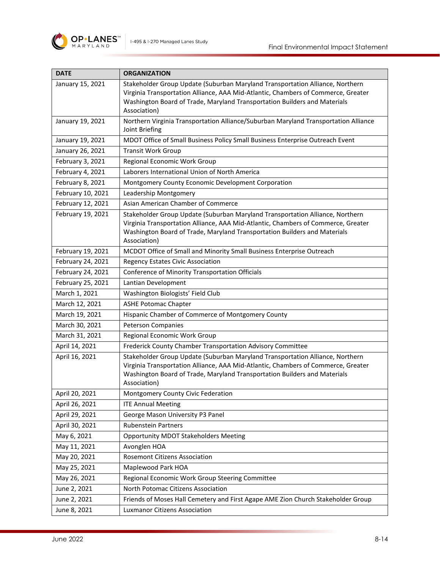

| <b>DATE</b>                                                                       | <b>ORGANIZATION</b>                                                                                                                                            |  |
|-----------------------------------------------------------------------------------|----------------------------------------------------------------------------------------------------------------------------------------------------------------|--|
| January 15, 2021                                                                  | Stakeholder Group Update (Suburban Maryland Transportation Alliance, Northern                                                                                  |  |
|                                                                                   | Virginia Transportation Alliance, AAA Mid-Atlantic, Chambers of Commerce, Greater<br>Washington Board of Trade, Maryland Transportation Builders and Materials |  |
|                                                                                   | Association)                                                                                                                                                   |  |
| January 19, 2021                                                                  | Northern Virginia Transportation Alliance/Suburban Maryland Transportation Alliance                                                                            |  |
|                                                                                   | Joint Briefing                                                                                                                                                 |  |
| January 19, 2021                                                                  | MDOT Office of Small Business Policy Small Business Enterprise Outreach Event                                                                                  |  |
| January 26, 2021                                                                  | <b>Transit Work Group</b>                                                                                                                                      |  |
| February 3, 2021                                                                  | Regional Economic Work Group                                                                                                                                   |  |
| February 4, 2021                                                                  | Laborers International Union of North America                                                                                                                  |  |
| February 8, 2021                                                                  | Montgomery County Economic Development Corporation                                                                                                             |  |
| February 10, 2021                                                                 | Leadership Montgomery                                                                                                                                          |  |
| February 12, 2021                                                                 | Asian American Chamber of Commerce                                                                                                                             |  |
| February 19, 2021                                                                 | Stakeholder Group Update (Suburban Maryland Transportation Alliance, Northern                                                                                  |  |
|                                                                                   | Virginia Transportation Alliance, AAA Mid-Atlantic, Chambers of Commerce, Greater                                                                              |  |
|                                                                                   | Washington Board of Trade, Maryland Transportation Builders and Materials<br>Association)                                                                      |  |
| February 19, 2021                                                                 | MCDOT Office of Small and Minority Small Business Enterprise Outreach                                                                                          |  |
| February 24, 2021                                                                 | <b>Regency Estates Civic Association</b>                                                                                                                       |  |
| February 24, 2021                                                                 | Conference of Minority Transportation Officials                                                                                                                |  |
| February 25, 2021                                                                 | Lantian Development                                                                                                                                            |  |
| March 1, 2021                                                                     | Washington Biologists' Field Club                                                                                                                              |  |
| March 12, 2021                                                                    | <b>ASHE Potomac Chapter</b>                                                                                                                                    |  |
| March 19, 2021                                                                    | Hispanic Chamber of Commerce of Montgomery County                                                                                                              |  |
| March 30, 2021                                                                    | <b>Peterson Companies</b>                                                                                                                                      |  |
| March 31, 2021                                                                    | Regional Economic Work Group                                                                                                                                   |  |
| April 14, 2021                                                                    | Frederick County Chamber Transportation Advisory Committee                                                                                                     |  |
| April 16, 2021                                                                    | Stakeholder Group Update (Suburban Maryland Transportation Alliance, Northern                                                                                  |  |
| Virginia Transportation Alliance, AAA Mid-Atlantic, Chambers of Commerce, Greater |                                                                                                                                                                |  |
|                                                                                   | Washington Board of Trade, Maryland Transportation Builders and Materials                                                                                      |  |
| April 20, 2021                                                                    | Association)<br>Montgomery County Civic Federation                                                                                                             |  |
| April 26, 2021                                                                    | <b>ITE Annual Meeting</b>                                                                                                                                      |  |
| April 29, 2021                                                                    | George Mason University P3 Panel                                                                                                                               |  |
| April 30, 2021                                                                    | <b>Rubenstein Partners</b>                                                                                                                                     |  |
| May 6, 2021                                                                       |                                                                                                                                                                |  |
| May 11, 2021                                                                      | <b>Opportunity MDOT Stakeholders Meeting</b>                                                                                                                   |  |
| May 20, 2021                                                                      | Avonglen HOA                                                                                                                                                   |  |
|                                                                                   | <b>Rosemont Citizens Association</b>                                                                                                                           |  |
| May 25, 2021                                                                      | Maplewood Park HOA                                                                                                                                             |  |
| May 26, 2021                                                                      | Regional Economic Work Group Steering Committee                                                                                                                |  |
| June 2, 2021                                                                      | North Potomac Citizens Association                                                                                                                             |  |
| June 2, 2021                                                                      | Friends of Moses Hall Cemetery and First Agape AME Zion Church Stakeholder Group                                                                               |  |
| June 8, 2021                                                                      | <b>Luxmanor Citizens Association</b>                                                                                                                           |  |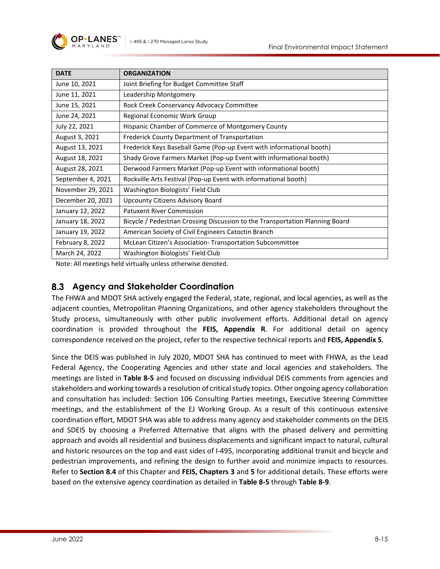| <b>DATE</b>       | <b>ORGANIZATION</b>                                                           |
|-------------------|-------------------------------------------------------------------------------|
| June 10, 2021     | Joint Briefing for Budget Committee Staff                                     |
| June 11, 2021     | Leadership Montgomery                                                         |
| June 15, 2021     | Rock Creek Conservancy Advocacy Committee                                     |
| June 24, 2021     | Regional Economic Work Group                                                  |
| July 22, 2021     | Hispanic Chamber of Commerce of Montgomery County                             |
| August 3, 2021    | Frederick County Department of Transportation                                 |
| August 13, 2021   | Frederick Keys Baseball Game (Pop-up Event with informational booth)          |
| August 18, 2021   | Shady Grove Farmers Market (Pop-up Event with informational booth)            |
| August 28, 2021   | Derwood Farmers Market (Pop-up Event with informational booth)                |
| September 4, 2021 | Rockville Arts Festival (Pop-up Event with informational booth)               |
| November 29, 2021 | Washington Biologists' Field Club                                             |
| December 20, 2021 | Upcounty Citizens Advisory Board                                              |
| January 12, 2022  | <b>Patuxent River Commission</b>                                              |
| January 18, 2022  | Bicycle / Pedestrian Crossing Discussion to the Transportation Planning Board |
| January 19, 2022  | American Society of Civil Engineers Catoctin Branch                           |
| February 8, 2022  | McLean Citizen's Association-Transportation Subcommittee                      |
| March 24, 2022    | Washington Biologists' Field Club                                             |

Note: All meetings held virtually unless otherwise denoted.

### **Agency and Stakeholder Coordination**

The FHWA and MDOT SHA actively engaged the Federal, state, regional, and local agencies, as well as the adjacent counties, Metropolitan Planning Organizations, and other agency stakeholders throughout the Study process, simultaneously with other public involvement efforts. Additional detail on agency coordination is provided throughout the **FEIS, Appendix R**. For additional detail on agency correspondence received on the project, refer to the respective technical reports and **FEIS, Appendix S**.

Since the DEIS was published in July 2020, MDOT SHA has continued to meet with FHWA, as the Lead Federal Agency, the Cooperating Agencies and other state and local agencies and stakeholders. The meetings are listed in **[Table 8-5](#page-15-0)** and focused on discussing individual DEIS comments from agencies and stakeholders and working towards a resolution of critical study topics. Other ongoing agency collaboration and consultation has included: Section 106 Consulting Parties meetings, Executive Steering Committee meetings, and the establishment of the EJ Working Group. As a result of this continuous extensive coordination effort, MDOT SHA was able to address many agency and stakeholder comments on the DEIS and SDEIS by choosing a Preferred Alternative that aligns with the phased delivery and permitting approach and avoids all residential and business displacements and significant impact to natural, cultural and historic resources on the top and east sides of I-495, incorporating additional transit and bicycle and pedestrian improvements, and refining the design to further avoid and minimize impacts to resources. Refer to **Section [8.4](#page-25-0)** of this Chapter and **FEIS, Chapters 3** and **5** for additional details. These efforts were based on the extensive agency coordination as detailed in **[Table 8-5](#page-15-0)** through **[Table 8-9](#page-24-0)**.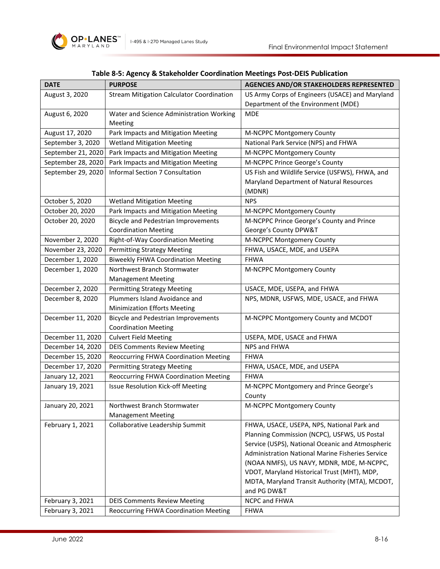

<span id="page-15-0"></span>

| <b>DATE</b>        | <b>PURPOSE</b>                                   | <b>AGENCIES AND/OR STAKEHOLDERS REPRESENTED</b>         |
|--------------------|--------------------------------------------------|---------------------------------------------------------|
| August 3, 2020     | <b>Stream Mitigation Calculator Coordination</b> | US Army Corps of Engineers (USACE) and Maryland         |
|                    |                                                  | Department of the Environment (MDE)                     |
| August 6, 2020     | Water and Science Administration Working         | <b>MDE</b>                                              |
|                    | Meeting                                          |                                                         |
| August 17, 2020    | Park Impacts and Mitigation Meeting              | M-NCPPC Montgomery County                               |
| September 3, 2020  | <b>Wetland Mitigation Meeting</b>                | National Park Service (NPS) and FHWA                    |
| September 21, 2020 | Park Impacts and Mitigation Meeting              | M-NCPPC Montgomery County                               |
| September 28, 2020 | Park Impacts and Mitigation Meeting              | M-NCPPC Prince George's County                          |
| September 29, 2020 | Informal Section 7 Consultation                  | US Fish and Wildlife Service (USFWS), FHWA, and         |
|                    |                                                  | Maryland Department of Natural Resources                |
|                    |                                                  | (MDNR)                                                  |
| October 5, 2020    | <b>Wetland Mitigation Meeting</b>                | <b>NPS</b>                                              |
| October 20, 2020   | Park Impacts and Mitigation Meeting              | M-NCPPC Montgomery County                               |
| October 20, 2020   | <b>Bicycle and Pedestrian Improvements</b>       | M-NCPPC Prince George's County and Prince               |
|                    | <b>Coordination Meeting</b>                      | George's County DPW&T                                   |
| November 2, 2020   | Right-of-Way Coordination Meeting                | M-NCPPC Montgomery County                               |
| November 23, 2020  | <b>Permitting Strategy Meeting</b>               | FHWA, USACE, MDE, and USEPA                             |
| December 1, 2020   | <b>Biweekly FHWA Coordination Meeting</b>        | <b>FHWA</b>                                             |
| December 1, 2020   | Northwest Branch Stormwater                      | M-NCPPC Montgomery County                               |
|                    | <b>Management Meeting</b>                        |                                                         |
| December 2, 2020   | <b>Permitting Strategy Meeting</b>               | USACE, MDE, USEPA, and FHWA                             |
| December 8, 2020   | Plummers Island Avoidance and                    | NPS, MDNR, USFWS, MDE, USACE, and FHWA                  |
|                    | <b>Minimization Efforts Meeting</b>              |                                                         |
| December 11, 2020  | <b>Bicycle and Pedestrian Improvements</b>       | M-NCPPC Montgomery County and MCDOT                     |
|                    | <b>Coordination Meeting</b>                      |                                                         |
| December 11, 2020  | <b>Culvert Field Meeting</b>                     | USEPA, MDE, USACE and FHWA                              |
| December 14, 2020  | <b>DEIS Comments Review Meeting</b>              | NPS and FHWA                                            |
| December 15, 2020  | <b>Reoccurring FHWA Coordination Meeting</b>     | <b>FHWA</b>                                             |
| December 17, 2020  | <b>Permitting Strategy Meeting</b>               | FHWA, USACE, MDE, and USEPA                             |
| January 12, 2021   | Reoccurring FHWA Coordination Meeting            | <b>FHWA</b>                                             |
| January 19, 2021   | <b>Issue Resolution Kick-off Meeting</b>         | M-NCPPC Montgomery and Prince George's                  |
|                    |                                                  | County                                                  |
| January 20, 2021   | Northwest Branch Stormwater                      | M-NCPPC Montgomery County                               |
|                    | <b>Management Meeting</b>                        |                                                         |
| February 1, 2021   | Collaborative Leadership Summit                  | FHWA, USACE, USEPA, NPS, National Park and              |
|                    |                                                  | Planning Commission (NCPC), USFWS, US Postal            |
|                    |                                                  | Service (USPS), National Oceanic and Atmospheric        |
|                    |                                                  | <b>Administration National Marine Fisheries Service</b> |
|                    |                                                  | (NOAA NMFS), US NAVY, MDNR, MDE, M-NCPPC,               |
|                    |                                                  | VDOT, Maryland Historical Trust (MHT), MDP,             |
|                    |                                                  | MDTA, Maryland Transit Authority (MTA), MCDOT,          |
|                    |                                                  | and PG DW&T                                             |
| February 3, 2021   | <b>DEIS Comments Review Meeting</b>              | NCPC and FHWA                                           |
| February 3, 2021   | Reoccurring FHWA Coordination Meeting            | <b>FHWA</b>                                             |

# **Table 8-5: Agency & Stakeholder Coordination Meetings Post-DEIS Publication**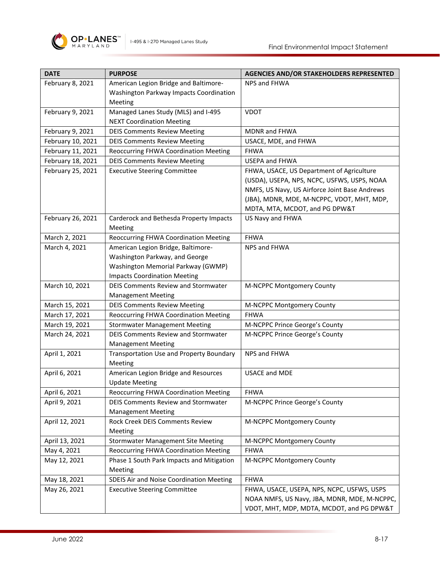

| <b>DATE</b>       | <b>PURPOSE</b>                            | <b>AGENCIES AND/OR STAKEHOLDERS REPRESENTED</b> |
|-------------------|-------------------------------------------|-------------------------------------------------|
| February 8, 2021  | American Legion Bridge and Baltimore-     | NPS and FHWA                                    |
|                   | Washington Parkway Impacts Coordination   |                                                 |
|                   | Meeting                                   |                                                 |
| February 9, 2021  | Managed Lanes Study (MLS) and I-495       | <b>VDOT</b>                                     |
|                   | <b>NEXT Coordination Meeting</b>          |                                                 |
| February 9, 2021  | <b>DEIS Comments Review Meeting</b>       | MDNR and FHWA                                   |
| February 10, 2021 | <b>DEIS Comments Review Meeting</b>       | USACE, MDE, and FHWA                            |
| February 11, 2021 | Reoccurring FHWA Coordination Meeting     | <b>FHWA</b>                                     |
| February 18, 2021 | <b>DEIS Comments Review Meeting</b>       | <b>USEPA and FHWA</b>                           |
| February 25, 2021 | <b>Executive Steering Committee</b>       | FHWA, USACE, US Department of Agriculture       |
|                   |                                           | (USDA), USEPA, NPS, NCPC, USFWS, USPS, NOAA     |
|                   |                                           | NMFS, US Navy, US Airforce Joint Base Andrews   |
|                   |                                           | (JBA), MDNR, MDE, M-NCPPC, VDOT, MHT, MDP,      |
|                   |                                           | MDTA, MTA, MCDOT, and PG DPW&T                  |
| February 26, 2021 | Carderock and Bethesda Property Impacts   | US Navy and FHWA                                |
|                   | Meeting                                   |                                                 |
| March 2, 2021     | Reoccurring FHWA Coordination Meeting     | <b>FHWA</b>                                     |
| March 4, 2021     | American Legion Bridge, Baltimore-        | NPS and FHWA                                    |
|                   | Washington Parkway, and George            |                                                 |
|                   | Washington Memorial Parkway (GWMP)        |                                                 |
|                   | <b>Impacts Coordination Meeting</b>       |                                                 |
| March 10, 2021    | DEIS Comments Review and Stormwater       | M-NCPPC Montgomery County                       |
|                   | <b>Management Meeting</b>                 |                                                 |
| March 15, 2021    | <b>DEIS Comments Review Meeting</b>       | M-NCPPC Montgomery County                       |
| March 17, 2021    | Reoccurring FHWA Coordination Meeting     | <b>FHWA</b>                                     |
| March 19, 2021    | <b>Stormwater Management Meeting</b>      | M-NCPPC Prince George's County                  |
| March 24, 2021    | DEIS Comments Review and Stormwater       | M-NCPPC Prince George's County                  |
|                   | <b>Management Meeting</b>                 |                                                 |
| April 1, 2021     | Transportation Use and Property Boundary  | NPS and FHWA                                    |
|                   | Meeting                                   |                                                 |
| April 6, 2021     | American Legion Bridge and Resources      | <b>USACE and MDE</b>                            |
|                   | <b>Update Meeting</b>                     |                                                 |
| April 6, 2021     | Reoccurring FHWA Coordination Meeting     | <b>FHWA</b>                                     |
| April 9, 2021     | DEIS Comments Review and Stormwater       | M-NCPPC Prince George's County                  |
|                   | <b>Management Meeting</b>                 |                                                 |
| April 12, 2021    | Rock Creek DEIS Comments Review           | M-NCPPC Montgomery County                       |
|                   | Meeting                                   |                                                 |
| April 13, 2021    | <b>Stormwater Management Site Meeting</b> | M-NCPPC Montgomery County                       |
| May 4, 2021       | Reoccurring FHWA Coordination Meeting     | <b>FHWA</b>                                     |
| May 12, 2021      | Phase 1 South Park Impacts and Mitigation | M-NCPPC Montgomery County                       |
|                   | Meeting                                   |                                                 |
| May 18, 2021      | SDEIS Air and Noise Coordination Meeting  | <b>FHWA</b>                                     |
| May 26, 2021      | <b>Executive Steering Committee</b>       | FHWA, USACE, USEPA, NPS, NCPC, USFWS, USPS      |
|                   |                                           | NOAA NMFS, US Navy, JBA, MDNR, MDE, M-NCPPC,    |
|                   |                                           | VDOT, MHT, MDP, MDTA, MCDOT, and PG DPW&T       |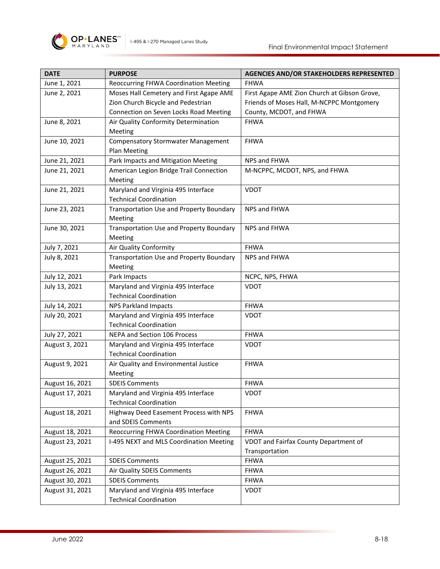

| <b>DATE</b>     | <b>PURPOSE</b>                                                       | <b>AGENCIES AND/OR STAKEHOLDERS REPRESENTED</b> |
|-----------------|----------------------------------------------------------------------|-------------------------------------------------|
| June 1, 2021    | Reoccurring FHWA Coordination Meeting                                | <b>FHWA</b>                                     |
| June 2, 2021    | Moses Hall Cemetery and First Agape AME                              | First Agape AME Zion Church at Gibson Grove,    |
|                 | Zion Church Bicycle and Pedestrian                                   | Friends of Moses Hall, M-NCPPC Montgomery       |
|                 | Connection on Seven Locks Road Meeting                               | County, MCDOT, and FHWA                         |
| June 8, 2021    | Air Quality Conformity Determination                                 | <b>FHWA</b>                                     |
|                 | Meeting                                                              |                                                 |
| June 10, 2021   | <b>Compensatory Stormwater Management</b>                            | <b>FHWA</b>                                     |
|                 | Plan Meeting                                                         |                                                 |
| June 21, 2021   | Park Impacts and Mitigation Meeting                                  | NPS and FHWA                                    |
| June 21, 2021   | American Legion Bridge Trail Connection                              | M-NCPPC, MCDOT, NPS, and FHWA                   |
|                 | Meeting                                                              |                                                 |
| June 21, 2021   | Maryland and Virginia 495 Interface                                  | <b>VDOT</b>                                     |
|                 | <b>Technical Coordination</b>                                        |                                                 |
| June 23, 2021   | Transportation Use and Property Boundary                             | NPS and FHWA                                    |
|                 | Meeting                                                              |                                                 |
| June 30, 2021   | Transportation Use and Property Boundary                             | NPS and FHWA                                    |
|                 | Meeting                                                              |                                                 |
| July 7, 2021    | Air Quality Conformity                                               | <b>FHWA</b>                                     |
| July 8, 2021    | <b>Transportation Use and Property Boundary</b>                      | NPS and FHWA                                    |
|                 | Meeting                                                              |                                                 |
| July 12, 2021   | Park Impacts                                                         | NCPC, NPS, FHWA                                 |
| July 13, 2021   | Maryland and Virginia 495 Interface                                  | <b>VDOT</b>                                     |
|                 | <b>Technical Coordination</b>                                        |                                                 |
| July 14, 2021   | <b>NPS Parkland Impacts</b>                                          | <b>FHWA</b>                                     |
| July 20, 2021   | Maryland and Virginia 495 Interface<br><b>Technical Coordination</b> | <b>VDOT</b>                                     |
| July 27, 2021   | NEPA and Section 106 Process                                         | <b>FHWA</b>                                     |
|                 | Maryland and Virginia 495 Interface                                  |                                                 |
| August 3, 2021  | <b>Technical Coordination</b>                                        | <b>VDOT</b>                                     |
| August 9, 2021  | Air Quality and Environmental Justice                                | <b>FHWA</b>                                     |
|                 | Meeting                                                              |                                                 |
| August 16, 2021 | <b>SDEIS Comments</b>                                                | <b>FHWA</b>                                     |
| August 17, 2021 | Maryland and Virginia 495 Interface                                  | <b>VDOT</b>                                     |
|                 | <b>Technical Coordination</b>                                        |                                                 |
| August 18, 2021 | Highway Deed Easement Process with NPS                               | <b>FHWA</b>                                     |
|                 | and SDEIS Comments                                                   |                                                 |
| August 18, 2021 | Reoccurring FHWA Coordination Meeting                                | <b>FHWA</b>                                     |
| August 23, 2021 | I-495 NEXT and MLS Coordination Meeting                              | VDOT and Fairfax County Department of           |
|                 |                                                                      | Transportation                                  |
| August 25, 2021 | <b>SDEIS Comments</b>                                                | <b>FHWA</b>                                     |
| August 26, 2021 | Air Quality SDEIS Comments                                           | <b>FHWA</b>                                     |
| August 30, 2021 | <b>SDEIS Comments</b>                                                | <b>FHWA</b>                                     |
| August 31, 2021 | Maryland and Virginia 495 Interface                                  | VDOT                                            |
|                 | <b>Technical Coordination</b>                                        |                                                 |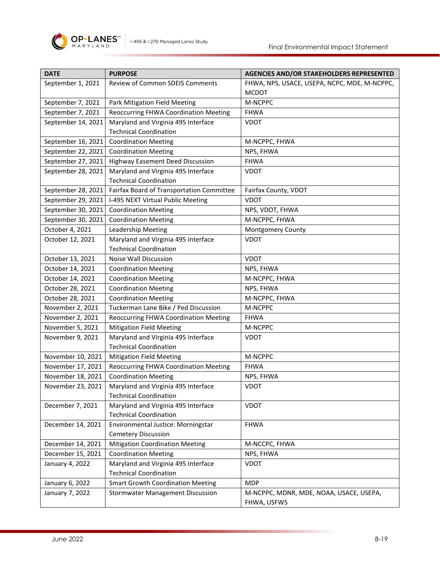

| <b>DATE</b>        | <b>PURPOSE</b>                            | <b>AGENCIES AND/OR STAKEHOLDERS REPRESENTED</b> |
|--------------------|-------------------------------------------|-------------------------------------------------|
| September 1, 2021  | Review of Common SDEIS Comments           | FHWA, NPS, USACE, USEPA, NCPC, MDE, M-NCPPC,    |
|                    |                                           | <b>MCDOT</b>                                    |
| September 7, 2021  | Park Mitigation Field Meeting             | M-NCPPC                                         |
| September 7, 2021  | Reoccurring FHWA Coordination Meeting     | <b>FHWA</b>                                     |
| September 14, 2021 | Maryland and Virginia 495 Interface       | <b>VDOT</b>                                     |
|                    | <b>Technical Coordination</b>             |                                                 |
| September 16, 2021 | <b>Coordination Meeting</b>               | M-NCPPC, FHWA                                   |
| September 22, 2021 | <b>Coordination Meeting</b>               | NPS, FHWA                                       |
| September 27, 2021 | Highway Easement Deed Discussion          | <b>FHWA</b>                                     |
| September 28, 2021 | Maryland and Virginia 495 Interface       | <b>VDOT</b>                                     |
|                    | <b>Technical Coordination</b>             |                                                 |
| September 28, 2021 | Fairfax Board of Transportation Committee | Fairfax County, VDOT                            |
| September 29, 2021 | I-495 NEXT Virtual Public Meeting         | <b>VDOT</b>                                     |
| September 30, 2021 | <b>Coordination Meeting</b>               | NPS, VDOT, FHWA                                 |
| September 30, 2021 | <b>Coordination Meeting</b>               | M-NCPPC, FHWA                                   |
| October 4, 2021    | Leadership Meeting                        | Montgomery County                               |
| October 12, 2021   | Maryland and Virginia 495 Interface       | <b>VDOT</b>                                     |
|                    | <b>Technical Coordination</b>             |                                                 |
| October 13, 2021   | <b>Noise Wall Discussion</b>              | <b>VDOT</b>                                     |
| October 14, 2021   | <b>Coordination Meeting</b>               | NPS, FHWA                                       |
| October 14, 2021   | <b>Coordination Meeting</b>               | M-NCPPC, FHWA                                   |
| October 28, 2021   | <b>Coordination Meeting</b>               | NPS, FHWA                                       |
| October 28, 2021   | <b>Coordination Meeting</b>               | M-NCPPC, FHWA                                   |
| November 2, 2021   | Tuckerman Lane Bike / Ped Discussion      | M-NCPPC                                         |
| November 2, 2021   | Reoccurring FHWA Coordination Meeting     | <b>FHWA</b>                                     |
| November 5, 2021   | <b>Mitigation Field Meeting</b>           | M-NCPPC                                         |
| November 9, 2021   | Maryland and Virginia 495 Interface       | <b>VDOT</b>                                     |
|                    | <b>Technical Coordination</b>             |                                                 |
| November 10, 2021  | <b>Mitigation Field Meeting</b>           | M-NCPPC                                         |
| November 17, 2021  | Reoccurring FHWA Coordination Meeting     | <b>FHWA</b>                                     |
| November 18, 2021  | <b>Coordination Meeting</b>               | NPS, FHWA                                       |
| November 23, 2021  | Maryland and Virginia 495 Interface       | <b>VDOT</b>                                     |
|                    | <b>Technical Coordination</b>             |                                                 |
| December 7, 2021   | Maryland and Virginia 495 Interface       | <b>VDOT</b>                                     |
|                    | <b>Technical Coordination</b>             |                                                 |
| December 14, 2021  | Environmental Justice: Morningstar        | <b>FHWA</b>                                     |
|                    | <b>Cemetery Discussion</b>                |                                                 |
| December 14, 2021  | <b>Mitigation Coordination Meeting</b>    | M-NCCPC, FHWA                                   |
| December 15, 2021  | <b>Coordination Meeting</b>               | NPS, FHWA                                       |
| January 4, 2022    | Maryland and Virginia 495 Interface       | <b>VDOT</b>                                     |
|                    | <b>Technical Coordination</b>             |                                                 |
| January 6, 2022    | <b>Smart Growth Coordination Meeting</b>  | <b>MDP</b>                                      |
| January 7, 2022    | <b>Stormwater Management Discussion</b>   | M-NCPPC, MDNR, MDE, NOAA, USACE, USEPA,         |
|                    |                                           | FHWA, USFWS                                     |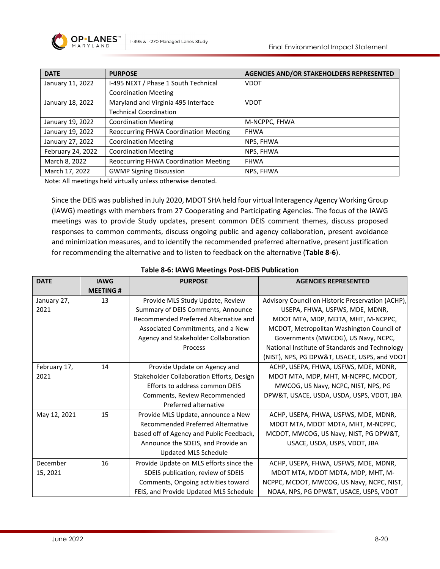

| <b>DATE</b>       | <b>PURPOSE</b>                               | <b>AGENCIES AND/OR STAKEHOLDERS REPRESENTED</b> |
|-------------------|----------------------------------------------|-------------------------------------------------|
| January 11, 2022  | I-495 NEXT / Phase 1 South Technical         | <b>VDOT</b>                                     |
|                   | <b>Coordination Meeting</b>                  |                                                 |
| January 18, 2022  | Maryland and Virginia 495 Interface          | <b>VDOT</b>                                     |
|                   | <b>Technical Coordination</b>                |                                                 |
| January 19, 2022  | <b>Coordination Meeting</b>                  | M-NCPPC, FHWA                                   |
| January 19, 2022  | Reoccurring FHWA Coordination Meeting        | <b>FHWA</b>                                     |
| January 27, 2022  | <b>Coordination Meeting</b>                  | NPS, FHWA                                       |
| February 24, 2022 | <b>Coordination Meeting</b>                  | NPS, FHWA                                       |
| March 8, 2022     | <b>Reoccurring FHWA Coordination Meeting</b> | <b>FHWA</b>                                     |
| March 17, 2022    | <b>GWMP Signing Discussion</b>               | NPS, FHWA                                       |

Note: All meetings held virtually unless otherwise denoted.

Since the DEIS was published in July 2020, MDOT SHA held four virtual Interagency Agency Working Group (IAWG) meetings with members from 27 Cooperating and Participating Agencies. The focus of the IAWG meetings was to provide Study updates, present common DEIS comment themes, discuss proposed responses to common comments, discuss ongoing public and agency collaboration, present avoidance and minimization measures, and to identify the recommended preferred alternative, present justification for recommending the alternative and to listen to feedback on the alternative (**[Table 8-6](#page-19-0)**).

<span id="page-19-0"></span>

| <b>DATE</b>  | <b>IAWG</b>     | <b>PURPOSE</b>                            | <b>AGENCIES REPRESENTED</b>                       |
|--------------|-----------------|-------------------------------------------|---------------------------------------------------|
|              | <b>MEETING#</b> |                                           |                                                   |
| January 27,  | 13              | Provide MLS Study Update, Review          | Advisory Council on Historic Preservation (ACHP), |
| 2021         |                 | Summary of DEIS Comments, Announce        | USEPA, FHWA, USFWS, MDE, MDNR,                    |
|              |                 | Recommended Preferred Alternative and     | MDOT MTA, MDP, MDTA, MHT, M-NCPPC,                |
|              |                 | Associated Commitments, and a New         | MCDOT, Metropolitan Washington Council of         |
|              |                 | Agency and Stakeholder Collaboration      | Governments (MWCOG), US Navy, NCPC,               |
|              |                 | Process                                   | National Institute of Standards and Technology    |
|              |                 |                                           | (NIST), NPS, PG DPW&T, USACE, USPS, and VDOT      |
| February 17, | 14              | Provide Update on Agency and              | ACHP, USEPA, FHWA, USFWS, MDE, MDNR,              |
| 2021         |                 | Stakeholder Collaboration Efforts, Design | MDOT MTA, MDP, MHT, M-NCPPC, MCDOT,               |
|              |                 | Efforts to address common DEIS            | MWCOG, US Navy, NCPC, NIST, NPS, PG               |
|              |                 | Comments, Review Recommended              | DPW&T, USACE, USDA, USDA, USPS, VDOT, JBA         |
|              |                 | Preferred alternative                     |                                                   |
| May 12, 2021 | 15              | Provide MLS Update, announce a New        | ACHP, USEPA, FHWA, USFWS, MDE, MDNR,              |
|              |                 | Recommended Preferred Alternative         | MDOT MTA, MDOT MDTA, MHT, M-NCPPC,                |
|              |                 | based off of Agency and Public Feedback,  | MCDOT, MWCOG, US Navy, NIST, PG DPW&T,            |
|              |                 | Announce the SDEIS, and Provide an        | USACE, USDA, USPS, VDOT, JBA                      |
|              |                 | Updated MLS Schedule                      |                                                   |
| December     | 16              | Provide Update on MLS efforts since the   | ACHP, USEPA, FHWA, USFWS, MDE, MDNR,              |
| 15, 2021     |                 | SDEIS publication, review of SDEIS        | MDOT MTA, MDOT MDTA, MDP, MHT, M-                 |
|              |                 | Comments, Ongoing activities toward       | NCPPC, MCDOT, MWCOG, US Navy, NCPC, NIST,         |
|              |                 | FEIS, and Provide Updated MLS Schedule    | NOAA, NPS, PG DPW&T, USACE, USPS, VDOT            |

#### **Table 8-6: IAWG Meetings Post-DEIS Publication**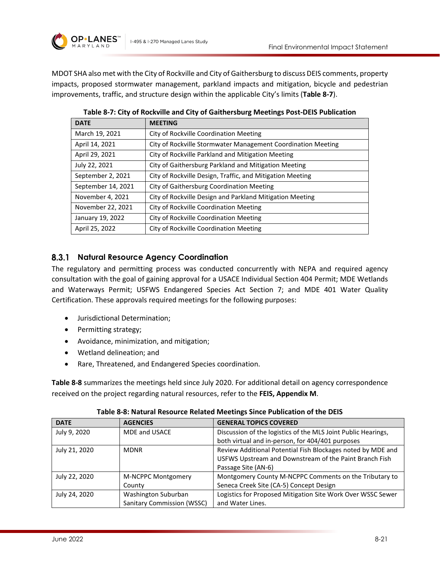

MDOT SHA also met with the City of Rockville and City of Gaithersburg to discuss DEIS comments, property impacts, proposed stormwater management, parkland impacts and mitigation, bicycle and pedestrian improvements, traffic, and structure design within the applicable City's limits (**[Table 8-7](#page-20-0)**).

<span id="page-20-0"></span>

| <b>DATE</b>        | <b>MEETING</b>                                               |
|--------------------|--------------------------------------------------------------|
| March 19, 2021     | City of Rockville Coordination Meeting                       |
| April 14, 2021     | City of Rockville Stormwater Management Coordination Meeting |
| April 29, 2021     | City of Rockville Parkland and Mitigation Meeting            |
| July 22, 2021      | City of Gaithersburg Parkland and Mitigation Meeting         |
| September 2, 2021  | City of Rockville Design, Traffic, and Mitigation Meeting    |
| September 14, 2021 | City of Gaithersburg Coordination Meeting                    |
| November 4, 2021   | City of Rockville Design and Parkland Mitigation Meeting     |
| November 22, 2021  | City of Rockville Coordination Meeting                       |
| January 19, 2022   | City of Rockville Coordination Meeting                       |
| April 25, 2022     | City of Rockville Coordination Meeting                       |

**Table 8-7: City of Rockville and City of Gaithersburg Meetings Post-DEIS Publication**

### **Natural Resource Agency Coordination**

The regulatory and permitting process was conducted concurrently with NEPA and required agency consultation with the goal of gaining approval for a USACE Individual Section 404 Permit; MDE Wetlands and Waterways Permit; USFWS Endangered Species Act Section 7; and MDE 401 Water Quality Certification. These approvals required meetings for the following purposes:

- Jurisdictional Determination;
- Permitting strategy;
- Avoidance, minimization, and mitigation;
- Wetland delineation; and
- Rare, Threatened, and Endangered Species coordination.

**[Table 8-8](#page-20-1)** summarizes the meetings held since July 2020. For additional detail on agency correspondence received on the project regarding natural resources, refer to the **FEIS, Appendix M**.

<span id="page-20-1"></span>

| <b>DATE</b>   | <b>AGENCIES</b>                   | <b>GENERAL TOPICS COVERED</b>                                 |
|---------------|-----------------------------------|---------------------------------------------------------------|
| July 9, 2020  | <b>MDE and USACE</b>              | Discussion of the logistics of the MLS Joint Public Hearings, |
|               |                                   | both virtual and in-person, for 404/401 purposes              |
| July 21, 2020 | <b>MDNR</b>                       | Review Additional Potential Fish Blockages noted by MDE and   |
|               |                                   | USFWS Upstream and Downstream of the Paint Branch Fish        |
|               |                                   | Passage Site (AN-6)                                           |
| July 22, 2020 | <b>M-NCPPC Montgomery</b>         | Montgomery County M-NCPPC Comments on the Tributary to        |
|               | County                            | Seneca Creek Site (CA-5) Concept Design                       |
| July 24, 2020 | Washington Suburban               | Logistics for Proposed Mitigation Site Work Over WSSC Sewer   |
|               | <b>Sanitary Commission (WSSC)</b> | and Water Lines.                                              |

**Table 8-8: Natural Resource Related Meetings Since Publication of the DEIS**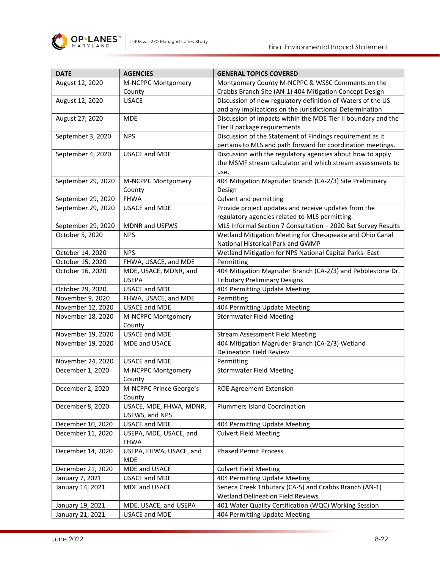

| <b>DATE</b>        | <b>AGENCIES</b>                       | <b>GENERAL TOPICS COVERED</b>                                 |
|--------------------|---------------------------------------|---------------------------------------------------------------|
| August 12, 2020    | M-NCPPC Montgomery                    | Montgomery County M-NCPPC & WSSC Comments on the              |
|                    | County                                | Crabbs Branch Site (AN-1) 404 Mitigation Concept Design       |
| August 12, 2020    | <b>USACE</b>                          | Discussion of new regulatory definition of Waters of the US   |
|                    |                                       | and any implications on the Jurisdictional Determination      |
| August 27, 2020    | <b>MDE</b>                            | Discussion of impacts within the MDE Tier II boundary and the |
|                    |                                       | Tier II package requirements                                  |
| September 3, 2020  | <b>NPS</b>                            | Discussion of the Statement of Findings requirement as it     |
|                    |                                       | pertains to MLS and path forward for coordination meetings.   |
| September 4, 2020  | <b>USACE and MDE</b>                  | Discussion with the regulatory agencies about how to apply    |
|                    |                                       | the MSMF stream calculator and which stream assessments to    |
|                    |                                       | use.                                                          |
| September 29, 2020 | M-NCPPC Montgomery                    | 404 Mitigation Magruder Branch (CA-2/3) Site Preliminary      |
|                    | County                                | Design                                                        |
| September 29, 2020 | <b>FHWA</b>                           | Culvert and permitting                                        |
| September 29, 2020 | <b>USACE and MDE</b>                  | Provide project updates and receive updates from the          |
|                    |                                       | regulatory agencies related to MLS permitting.                |
| September 29, 2020 | MDNR and USFWS                        | MLS Informal Section 7 Consultation - 2020 Bat Survey Results |
| October 5, 2020    | <b>NPS</b>                            | Wetland Mitigation Meeting for Chesapeake and Ohio Canal      |
|                    |                                       | National Historical Park and GWMP                             |
| October 14, 2020   | <b>NPS</b>                            | Wetland Mitigation for NPS National Capital Parks- East       |
| October 15, 2020   | FHWA, USACE, and MDE                  | Permitting                                                    |
| October 16, 2020   | MDE, USACE, MDNR, and                 | 404 Mitigation Magruder Branch (CA-2/3) and Pebblestone Dr.   |
|                    | <b>USEPA</b>                          | <b>Tributary Preliminary Designs</b>                          |
| October 29, 2020   | <b>USACE and MDE</b>                  | 404 Permitting Update Meeting                                 |
| November 9, 2020   | FHWA, USACE, and MDE                  | Permitting                                                    |
| November 12, 2020  | <b>USACE and MDE</b>                  | 404 Permitting Update Meeting                                 |
| November 18, 2020  | M-NCPPC Montgomery                    | <b>Stormwater Field Meeting</b>                               |
|                    | County                                |                                                               |
| November 19, 2020  | <b>USACE and MDE</b>                  | <b>Stream Assessment Field Meeting</b>                        |
| November 19, 2020  | MDE and USACE                         | 404 Mitigation Magruder Branch (CA-2/3) Wetland               |
|                    |                                       | <b>Delineation Field Review</b>                               |
| November 24, 2020  | <b>USACE and MDE</b>                  | Permitting                                                    |
| December 1, 2020   | M-NCPPC Montgomery                    | <b>Stormwater Field Meeting</b>                               |
|                    | County                                |                                                               |
| December 2, 2020   | M-NCPPC Prince George's               | <b>ROE Agreement Extension</b>                                |
|                    | County                                |                                                               |
| December 8, 2020   | USACE, MDE, FHWA, MDNR,               | <b>Plummers Island Coordination</b>                           |
|                    | USFWS, and NPS                        |                                                               |
| December 10, 2020  | USACE and MDE                         | 404 Permitting Update Meeting                                 |
| December 11, 2020  | USEPA, MDE, USACE, and                | <b>Culvert Field Meeting</b>                                  |
|                    | <b>FHWA</b>                           |                                                               |
| December 14, 2020  | USEPA, FHWA, USACE, and<br><b>MDE</b> | <b>Phased Permit Process</b>                                  |
| December 21, 2020  | MDE and USACE                         | <b>Culvert Field Meeting</b>                                  |
| January 7, 2021    | <b>USACE and MDE</b>                  | 404 Permitting Update Meeting                                 |
| January 14, 2021   | MDE and USACE                         | Seneca Creek Tributary (CA-5) and Crabbs Branch (AN-1)        |
|                    |                                       | <b>Wetland Delineation Field Reviews</b>                      |
| January 19, 2021   | MDE, USACE, and USEPA                 | 401 Water Quality Certification (WQC) Working Session         |
| January 21, 2021   | USACE and MDE                         | 404 Permitting Update Meeting                                 |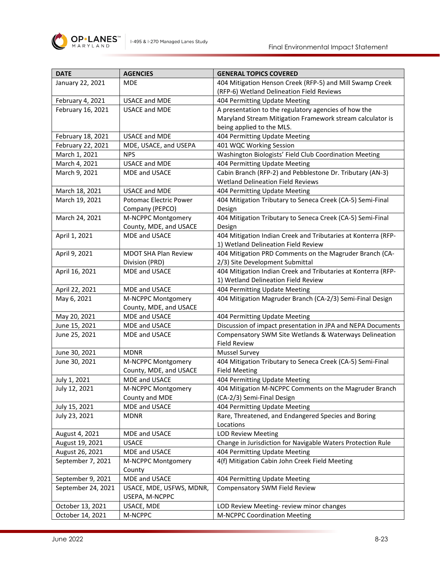

| <b>DATE</b>        | <b>AGENCIES</b>             | <b>GENERAL TOPICS COVERED</b>                                 |
|--------------------|-----------------------------|---------------------------------------------------------------|
| January 22, 2021   | <b>MDE</b>                  | 404 Mitigation Henson Creek (RFP-5) and Mill Swamp Creek      |
|                    |                             | (RFP-6) Wetland Delineation Field Reviews                     |
| February 4, 2021   | <b>USACE and MDE</b>        | 404 Permitting Update Meeting                                 |
| February 16, 2021  | <b>USACE and MDE</b>        | A presentation to the regulatory agencies of how the          |
|                    |                             | Maryland Stream Mitigation Framework stream calculator is     |
|                    |                             | being applied to the MLS.                                     |
| February 18, 2021  | <b>USACE and MDE</b>        | 404 Permitting Update Meeting                                 |
| February 22, 2021  | MDE, USACE, and USEPA       | 401 WQC Working Session                                       |
| March 1, 2021      | <b>NPS</b>                  | Washington Biologists' Field Club Coordination Meeting        |
| March 4, 2021      | <b>USACE and MDE</b>        | 404 Permitting Update Meeting                                 |
| March 9, 2021      | MDE and USACE               | Cabin Branch (RFP-2) and Pebblestone Dr. Tributary (AN-3)     |
|                    |                             | <b>Wetland Delineation Field Reviews</b>                      |
| March 18, 2021     | <b>USACE and MDE</b>        | 404 Permitting Update Meeting                                 |
| March 19, 2021     | Potomac Electric Power      | 404 Mitigation Tributary to Seneca Creek (CA-5) Semi-Final    |
|                    | Company (PEPCO)             | Design                                                        |
| March 24, 2021     | M-NCPPC Montgomery          | 404 Mitigation Tributary to Seneca Creek (CA-5) Semi-Final    |
|                    | County, MDE, and USACE      | Design                                                        |
| April 1, 2021      | MDE and USACE               | 404 Mitigation Indian Creek and Tributaries at Konterra (RFP- |
|                    |                             | 1) Wetland Delineation Field Review                           |
| April 9, 2021      | <b>MDOT SHA Plan Review</b> | 404 Mitigation PRD Comments on the Magruder Branch (CA-       |
|                    | Division (PRD)              | 2/3) Site Development Submittal                               |
| April 16, 2021     | <b>MDE and USACE</b>        | 404 Mitigation Indian Creek and Tributaries at Konterra (RFP- |
|                    |                             | 1) Wetland Delineation Field Review                           |
| April 22, 2021     | MDE and USACE               | 404 Permitting Update Meeting                                 |
| May 6, 2021        | M-NCPPC Montgomery          | 404 Mitigation Magruder Branch (CA-2/3) Semi-Final Design     |
|                    | County, MDE, and USACE      |                                                               |
| May 20, 2021       | MDE and USACE               | 404 Permitting Update Meeting                                 |
| June 15, 2021      | <b>MDE and USACE</b>        | Discussion of impact presentation in JPA and NEPA Documents   |
| June 25, 2021      | <b>MDE and USACE</b>        | Compensatory SWM Site Wetlands & Waterways Delineation        |
|                    |                             | <b>Field Review</b>                                           |
| June 30, 2021      | <b>MDNR</b>                 | <b>Mussel Survey</b>                                          |
| June 30, 2021      | M-NCPPC Montgomery          | 404 Mitigation Tributary to Seneca Creek (CA-5) Semi-Final    |
|                    | County, MDE, and USACE      | <b>Field Meeting</b>                                          |
| July 1, 2021       | MDE and USACE               | 404 Permitting Update Meeting                                 |
| July 12, 2021      | M-NCPPC Montgomery          | 404 Mitigation M-NCPPC Comments on the Magruder Branch        |
|                    | County and MDE              | (CA-2/3) Semi-Final Design                                    |
| July 15, 2021      | MDE and USACE               | 404 Permitting Update Meeting                                 |
| July 23, 2021      | <b>MDNR</b>                 | Rare, Threatened, and Endangered Species and Boring           |
|                    |                             | Locations                                                     |
| August 4, 2021     | MDE and USACE               | <b>LOD Review Meeting</b>                                     |
| August 19, 2021    | <b>USACE</b>                | Change in Jurisdiction for Navigable Waters Protection Rule   |
| August 26, 2021    | MDE and USACE               | 404 Permitting Update Meeting                                 |
| September 7, 2021  | M-NCPPC Montgomery          | 4(f) Mitigation Cabin John Creek Field Meeting                |
|                    | County                      |                                                               |
| September 9, 2021  | MDE and USACE               | 404 Permitting Update Meeting                                 |
| September 24, 2021 | USACE, MDE, USFWS, MDNR,    | Compensatory SWM Field Review                                 |
|                    | USEPA, M-NCPPC              |                                                               |
| October 13, 2021   | USACE, MDE                  | LOD Review Meeting- review minor changes                      |
| October 14, 2021   | M-NCPPC                     | M-NCPPC Coordination Meeting                                  |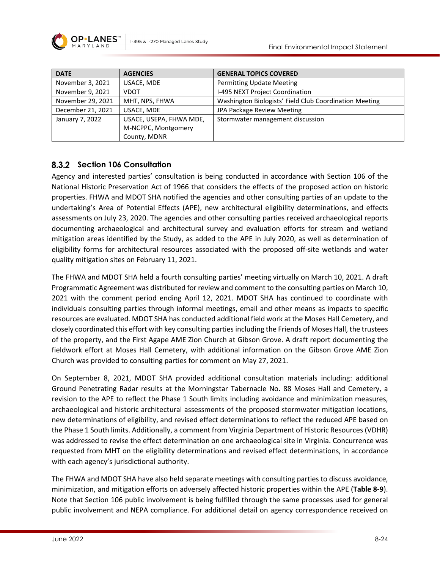| <b>DATE</b>       | <b>AGENCIES</b>         | <b>GENERAL TOPICS COVERED</b>                          |
|-------------------|-------------------------|--------------------------------------------------------|
| November 3, 2021  | USACE, MDE              | <b>Permitting Update Meeting</b>                       |
| November 9, 2021  | <b>VDOT</b>             | I-495 NEXT Project Coordination                        |
| November 29, 2021 | MHT, NPS, FHWA          | Washington Biologists' Field Club Coordination Meeting |
| December 21, 2021 | USACE, MDE              | JPA Package Review Meeting                             |
| January 7, 2022   | USACE, USEPA, FHWA MDE, | Stormwater management discussion                       |
|                   | M-NCPPC, Montgomery     |                                                        |
|                   | County, MDNR            |                                                        |

# **Section 106 Consultation**

Agency and interested parties' consultation is being conducted in accordance with Section 106 of the National Historic Preservation Act of 1966 that considers the effects of the proposed action on historic properties. FHWA and MDOT SHA notified the agencies and other consulting parties of an update to the undertaking's Area of Potential Effects (APE), new architectural eligibility determinations, and effects assessments on July 23, 2020. The agencies and other consulting parties received archaeological reports documenting archaeological and architectural survey and evaluation efforts for stream and wetland mitigation areas identified by the Study, as added to the APE in July 2020, as well as determination of eligibility forms for architectural resources associated with the proposed off-site wetlands and water quality mitigation sites on February 11, 2021.

The FHWA and MDOT SHA held a fourth consulting parties' meeting virtually on March 10, 2021. A draft Programmatic Agreement was distributed for review and comment to the consulting parties on March 10, 2021 with the comment period ending April 12, 2021. MDOT SHA has continued to coordinate with individuals consulting parties through informal meetings, email and other means as impacts to specific resources are evaluated. MDOT SHA has conducted additional field work at the Moses Hall Cemetery, and closely coordinated this effort with key consulting parties including the Friends of Moses Hall, the trustees of the property, and the First Agape AME Zion Church at Gibson Grove. A draft report documenting the fieldwork effort at Moses Hall Cemetery, with additional information on the Gibson Grove AME Zion Church was provided to consulting parties for comment on May 27, 2021.

On September 8, 2021, MDOT SHA provided additional consultation materials including: additional Ground Penetrating Radar results at the Morningstar Tabernacle No. 88 Moses Hall and Cemetery, a revision to the APE to reflect the Phase 1 South limits including avoidance and minimization measures, archaeological and historic architectural assessments of the proposed stormwater mitigation locations, new determinations of eligibility, and revised effect determinations to reflect the reduced APE based on the Phase 1 South limits. Additionally, a comment from Virginia Department of Historic Resources (VDHR) was addressed to revise the effect determination on one archaeological site in Virginia. Concurrence was requested from MHT on the eligibility determinations and revised effect determinations, in accordance with each agency's jurisdictional authority.

The FHWA and MDOT SHA have also held separate meetings with consulting parties to discuss avoidance, minimization, and mitigation efforts on adversely affected historic properties within the APE (**[Table 8-9](#page-24-0)**). Note that Section 106 public involvement is being fulfilled through the same processes used for general public involvement and NEPA compliance. For additional detail on agency correspondence received on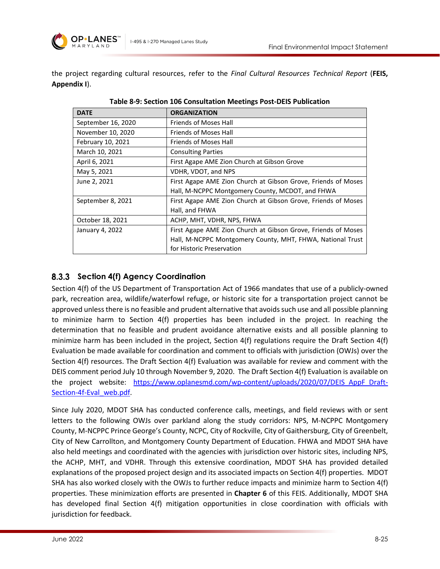

the project regarding cultural resources, refer to the *Final Cultural Resources Technical Report* (**FEIS, Appendix I**).

<span id="page-24-0"></span>

| <b>DATE</b>        | <b>ORGANIZATION</b>                                           |
|--------------------|---------------------------------------------------------------|
| September 16, 2020 | <b>Friends of Moses Hall</b>                                  |
| November 10, 2020  | <b>Friends of Moses Hall</b>                                  |
| February 10, 2021  | <b>Friends of Moses Hall</b>                                  |
| March 10, 2021     | <b>Consulting Parties</b>                                     |
| April 6, 2021      | First Agape AME Zion Church at Gibson Grove                   |
| May 5, 2021        | VDHR, VDOT, and NPS                                           |
| June 2, 2021       | First Agape AME Zion Church at Gibson Grove, Friends of Moses |
|                    | Hall, M-NCPPC Montgomery County, MCDOT, and FHWA              |
| September 8, 2021  | First Agape AME Zion Church at Gibson Grove, Friends of Moses |
|                    | Hall, and FHWA                                                |
| October 18, 2021   | ACHP, MHT, VDHR, NPS, FHWA                                    |
| January 4, 2022    | First Agape AME Zion Church at Gibson Grove, Friends of Moses |
|                    | Hall, M-NCPPC Montgomery County, MHT, FHWA, National Trust    |
|                    | for Historic Preservation                                     |

**Table 8-9: Section 106 Consultation Meetings Post-DEIS Publication**

### **Section 4(f) Agency Coordination**

Section 4(f) of the US Department of Transportation Act of 1966 mandates that use of a publicly-owned park, recreation area, wildlife/waterfowl refuge, or historic site for a transportation project cannot be approved unless there is no feasible and prudent alternative that avoids such use and all possible planning to minimize harm to Section 4(f) properties has been included in the project. In reaching the determination that no feasible and prudent avoidance alternative exists and all possible planning to minimize harm has been included in the project, Section 4(f) regulations require the Draft Section 4(f) Evaluation be made available for coordination and comment to officials with jurisdiction (OWJs) over the Section 4(f) resources. The Draft Section 4(f) Evaluation was available for review and comment with the DEIS comment period July 10 through November 9, 2020. The Draft Section 4(f) Evaluation is available on the project website: https://www.oplanesmd.com/wp-content/uploads/2020/07/DEIS AppF Draft-Section-4f-Eval\_web.pdf

Since July 2020, MDOT SHA has conducted conference calls, meetings, and field reviews with or sent letters to the following OWJs over parkland along the study corridors: NPS, M-NCPPC Montgomery County, M-NCPPC Prince George's County, NCPC, City of Rockville, City of Gaithersburg, City of Greenbelt, City of New Carrollton, and Montgomery County Department of Education. FHWA and MDOT SHA have also held meetings and coordinated with the agencies with jurisdiction over historic sites, including NPS, the ACHP, MHT, and VDHR. Through this extensive coordination, MDOT SHA has provided detailed explanations of the proposed project design and its associated impacts on Section 4(f) properties. MDOT SHA has also worked closely with the OWJs to further reduce impacts and minimize harm to Section 4(f) properties. These minimization efforts are presented in **Chapter 6** of this FEIS. Additionally, MDOT SHA has developed final Section 4(f) mitigation opportunities in close coordination with officials with jurisdiction for feedback.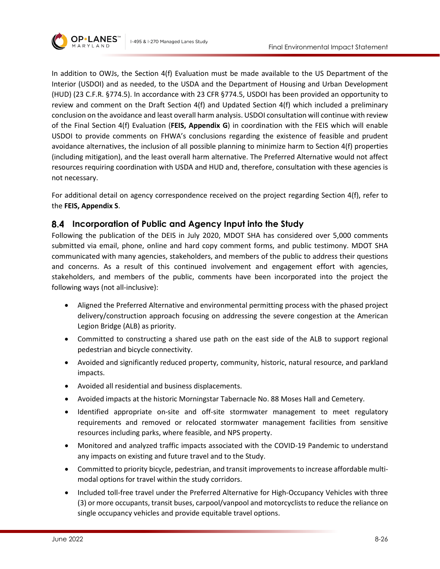

In addition to OWJs, the Section 4(f) Evaluation must be made available to the US Department of the Interior (USDOI) and as needed, to the USDA and the Department of Housing and Urban Development (HUD) (23 C.F.R. §774.5). In accordance with 23 CFR §774.5, USDOI has been provided an opportunity to review and comment on the Draft Section 4(f) and Updated Section 4(f) which included a preliminary conclusion on the avoidance and least overall harm analysis. USDOI consultation will continue with review of the Final Section 4(f) Evaluation (**FEIS, Appendix G**) in coordination with the FEIS which will enable USDOI to provide comments on FHWA's conclusions regarding the existence of feasible and prudent avoidance alternatives, the inclusion of all possible planning to minimize harm to Section 4(f) properties (including mitigation), and the least overall harm alternative. The Preferred Alternative would not affect resources requiring coordination with USDA and HUD and, therefore, consultation with these agencies is not necessary.

For additional detail on agency correspondence received on the project regarding Section 4(f), refer to the **FEIS, Appendix S**.

### <span id="page-25-0"></span>**Incorporation of Public and Agency Input into the Study**

Following the publication of the DEIS in July 2020, MDOT SHA has considered over 5,000 comments submitted via email, phone, online and hard copy comment forms, and public testimony. MDOT SHA communicated with many agencies, stakeholders, and members of the public to address their questions and concerns. As a result of this continued involvement and engagement effort with agencies, stakeholders, and members of the public, comments have been incorporated into the project the following ways (not all-inclusive):

- Aligned the Preferred Alternative and environmental permitting process with the phased project delivery/construction approach focusing on addressing the severe congestion at the American Legion Bridge (ALB) as priority.
- Committed to constructing a shared use path on the east side of the ALB to support regional pedestrian and bicycle connectivity.
- Avoided and significantly reduced property, community, historic, natural resource, and parkland impacts.
- Avoided all residential and business displacements.
- Avoided impacts at the historic Morningstar Tabernacle No. 88 Moses Hall and Cemetery.
- Identified appropriate on-site and off-site stormwater management to meet regulatory requirements and removed or relocated stormwater management facilities from sensitive resources including parks, where feasible, and NPS property.
- Monitored and analyzed traffic impacts associated with the COVID-19 Pandemic to understand any impacts on existing and future travel and to the Study.
- Committed to priority bicycle, pedestrian, and transit improvements to increase affordable multimodal options for travel within the study corridors.
- Included toll-free travel under the Preferred Alternative for High-Occupancy Vehicles with three (3) or more occupants, transit buses, carpool/vanpool and motorcyclists to reduce the reliance on single occupancy vehicles and provide equitable travel options.